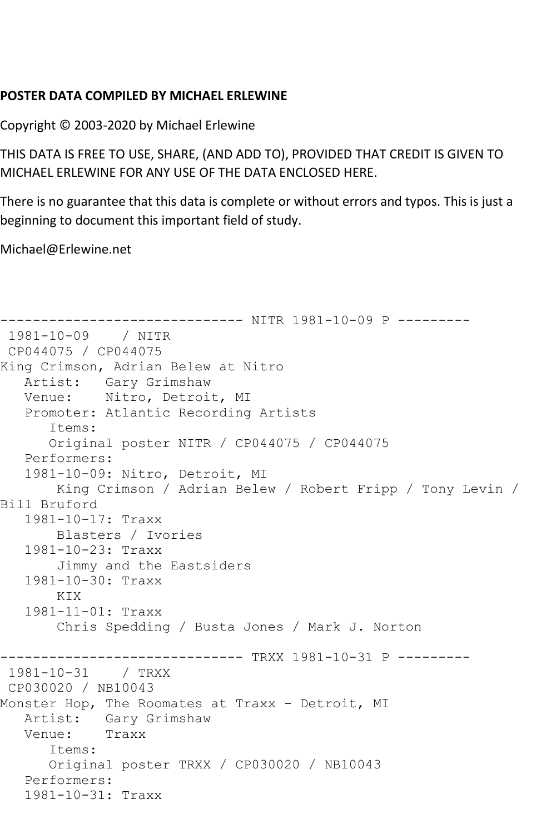## **POSTER DATA COMPILED BY MICHAEL ERLEWINE**

Copyright © 2003-2020 by Michael Erlewine

THIS DATA IS FREE TO USE, SHARE, (AND ADD TO), PROVIDED THAT CREDIT IS GIVEN TO MICHAEL ERLEWINE FOR ANY USE OF THE DATA ENCLOSED HERE.

There is no guarantee that this data is complete or without errors and typos. This is just a beginning to document this important field of study.

Michael@Erlewine.net

```
------------------------------ NITR 1981-10-09 P ---------
1981-10-09 / NITR 
CP044075 / CP044075
King Crimson, Adrian Belew at Nitro
   Artist: Gary Grimshaw
   Venue: Nitro, Detroit, MI
   Promoter: Atlantic Recording Artists
       Items:
      Original poster NITR / CP044075 / CP044075
   Performers:
   1981-10-09: Nitro, Detroit, MI
        King Crimson / Adrian Belew / Robert Fripp / Tony Levin / 
Bill Bruford
   1981-10-17: Traxx
       Blasters / Ivories
   1981-10-23: Traxx
       Jimmy and the Eastsiders
   1981-10-30: Traxx
      KTX
   1981-11-01: Traxx
        Chris Spedding / Busta Jones / Mark J. Norton
------------------------------ TRXX 1981-10-31 P ---------
1981-10-31 / TRXX 
CP030020 / NB10043
Monster Hop, The Roomates at Traxx - Detroit, MI
   Artist: Gary Grimshaw
   Venue: Traxx
       Items:
      Original poster TRXX / CP030020 / NB10043
   Performers:
   1981-10-31: Traxx
```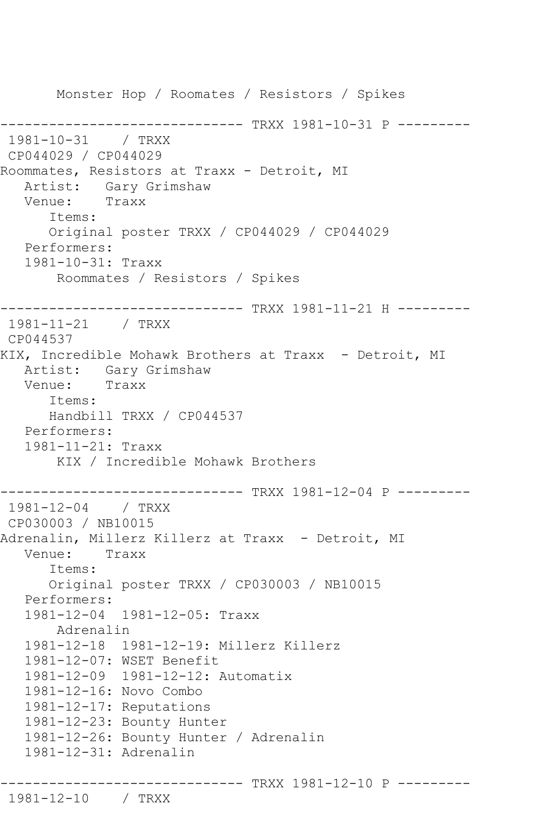Monster Hop / Roomates / Resistors / Spikes ------------------- TRXX 1981-10-31 P ---------1981-10-31 / TRXX CP044029 / CP044029 Roommates, Resistors at Traxx - Detroit, MI Artist: Gary Grimshaw<br>Venue: Traxx Venue: Items: Original poster TRXX / CP044029 / CP044029 Performers: 1981-10-31: Traxx Roommates / Resistors / Spikes ------------------------------ TRXX 1981-11-21 H --------- 1981-11-21 / TRXX CP044537 KIX, Incredible Mohawk Brothers at Traxx - Detroit, MI Artist: Gary Grimshaw<br>Venue: Traxx Venue: Items: Handbill TRXX / CP044537 Performers: 1981-11-21: Traxx KIX / Incredible Mohawk Brothers ----------------------------- TRXX 1981-12-04 P ---------1981-12-04 / TRXX CP030003 / NB10015 Adrenalin, Millerz Killerz at Traxx - Detroit, MI Venue: Traxx Items: Original poster TRXX / CP030003 / NB10015 Performers: 1981-12-04 1981-12-05: Traxx Adrenalin 1981-12-18 1981-12-19: Millerz Killerz 1981-12-07: WSET Benefit 1981-12-09 1981-12-12: Automatix 1981-12-16: Novo Combo 1981-12-17: Reputations 1981-12-23: Bounty Hunter 1981-12-26: Bounty Hunter / Adrenalin 1981-12-31: Adrenalin ------------------------------ TRXX 1981-12-10 P --------- 1981-12-10 / TRXX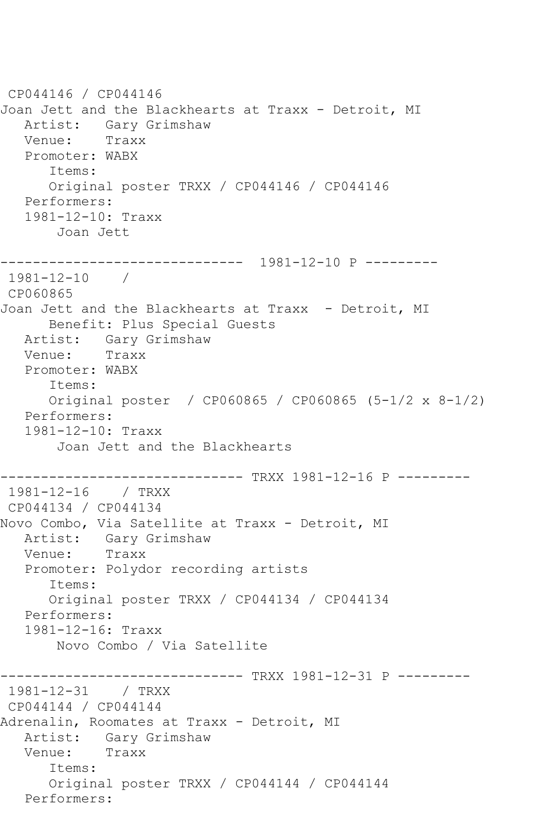CP044146 / CP044146 Joan Jett and the Blackhearts at Traxx - Detroit, MI Artist: Gary Grimshaw Venue: Traxx Promoter: WABX Items: Original poster TRXX / CP044146 / CP044146 Performers: 1981-12-10: Traxx Joan Jett ------------------------------ 1981-12-10 P --------- 1981-12-10 / CP060865 Joan Jett and the Blackhearts at Traxx - Detroit, MI Benefit: Plus Special Guests Artist: Gary Grimshaw<br>Venue: Traxx Venue: Promoter: WABX Items: Original poster / CP060865 / CP060865 (5-1/2 x 8-1/2) Performers: 1981-12-10: Traxx Joan Jett and the Blackhearts ------------------------------ TRXX 1981-12-16 P --------- 1981-12-16 / TRXX CP044134 / CP044134 Novo Combo, Via Satellite at Traxx - Detroit, MI Artist: Gary Grimshaw Venue: Traxx Promoter: Polydor recording artists Items: Original poster TRXX / CP044134 / CP044134 Performers: 1981-12-16: Traxx Novo Combo / Via Satellite ------------------------------ TRXX 1981-12-31 P --------- 1981-12-31 / TRXX CP044144 / CP044144 Adrenalin, Roomates at Traxx - Detroit, MI Artist: Gary Grimshaw<br>Venue: Traxx Venue: Items: Original poster TRXX / CP044144 / CP044144 Performers: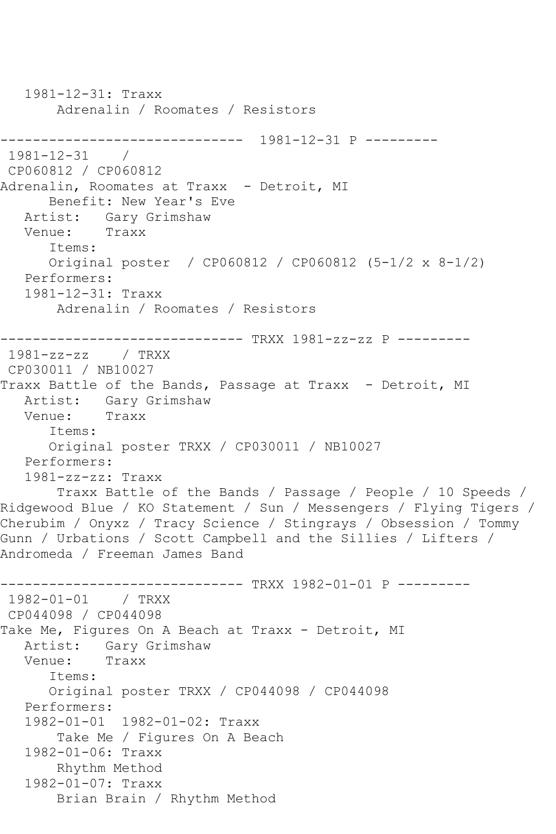```
 1981-12-31: Traxx
        Adrenalin / Roomates / Resistors
   ------------------------------ 1981-12-31 P ---------
1981 - 12 - 31CP060812 / CP060812
Adrenalin, Roomates at Traxx - Detroit, MI
      Benefit: New Year's Eve
  Artist: Gary Grimshaw<br>Venue: Traxx
  Venue:
       Items:
      Original poster / CP060812 / CP060812 (5-1/2 x 8-1/2)
   Performers:
   1981-12-31: Traxx
        Adrenalin / Roomates / Resistors
------------------------------ TRXX 1981-zz-zz P ---------
1981-zz-zz / TRXX 
CP030011 / NB10027
Traxx Battle of the Bands, Passage at Traxx - Detroit, MI
   Artist: Gary Grimshaw
   Venue: Traxx
      Items:
       Original poster TRXX / CP030011 / NB10027
   Performers:
   1981-zz-zz: Traxx
        Traxx Battle of the Bands / Passage / People / 10 Speeds / 
Ridgewood Blue / KO Statement / Sun / Messengers / Flying Tigers / 
Cherubim / Onyxz / Tracy Science / Stingrays / Obsession / Tommy 
Gunn / Urbations / Scott Campbell and the Sillies / Lifters / 
Andromeda / Freeman James Band
------------------------------ TRXX 1982-01-01 P ---------
1982-01-01 / TRXX 
CP044098 / CP044098
Take Me, Figures On A Beach at Traxx - Detroit, MI
   Artist: Gary Grimshaw
   Venue: Traxx
      Items:
       Original poster TRXX / CP044098 / CP044098
   Performers:
   1982-01-01 1982-01-02: Traxx
        Take Me / Figures On A Beach
   1982-01-06: Traxx
        Rhythm Method
   1982-01-07: Traxx
        Brian Brain / Rhythm Method
```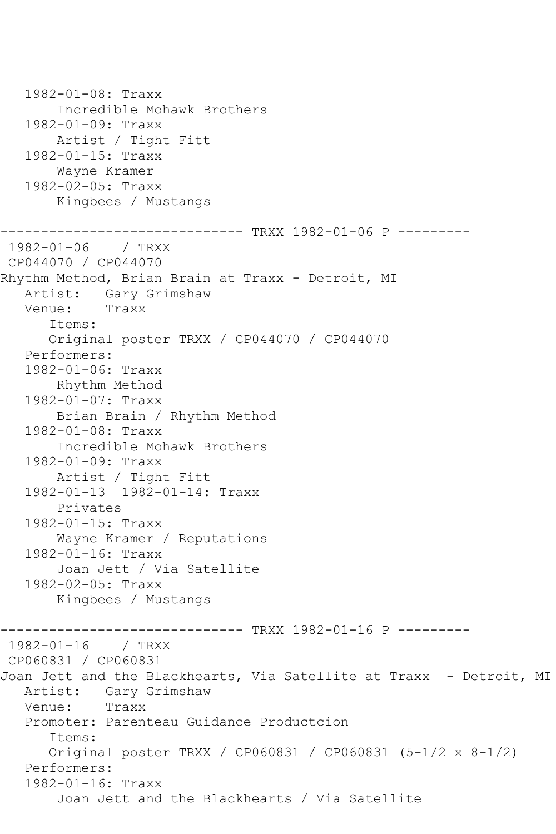1982-01-08: Traxx Incredible Mohawk Brothers 1982-01-09: Traxx Artist / Tight Fitt 1982-01-15: Traxx Wayne Kramer 1982-02-05: Traxx Kingbees / Mustangs ------------------------------ TRXX 1982-01-06 P --------- 1982-01-06 / TRXX CP044070 / CP044070 Rhythm Method, Brian Brain at Traxx - Detroit, MI Artist: Gary Grimshaw Venue: Traxx Items: Original poster TRXX / CP044070 / CP044070 Performers: 1982-01-06: Traxx Rhythm Method 1982-01-07: Traxx Brian Brain / Rhythm Method 1982-01-08: Traxx Incredible Mohawk Brothers 1982-01-09: Traxx Artist / Tight Fitt 1982-01-13 1982-01-14: Traxx Privates 1982-01-15: Traxx Wayne Kramer / Reputations 1982-01-16: Traxx Joan Jett / Via Satellite 1982-02-05: Traxx Kingbees / Mustangs ------------------------------ TRXX 1982-01-16 P --------- 1982-01-16 / TRXX CP060831 / CP060831 Joan Jett and the Blackhearts, Via Satellite at Traxx - Detroit, MI Artist: Gary Grimshaw<br>Venue: Traxx Venue: Promoter: Parenteau Guidance Productcion Items: Original poster TRXX / CP060831 / CP060831 (5-1/2 x 8-1/2) Performers: 1982-01-16: Traxx Joan Jett and the Blackhearts / Via Satellite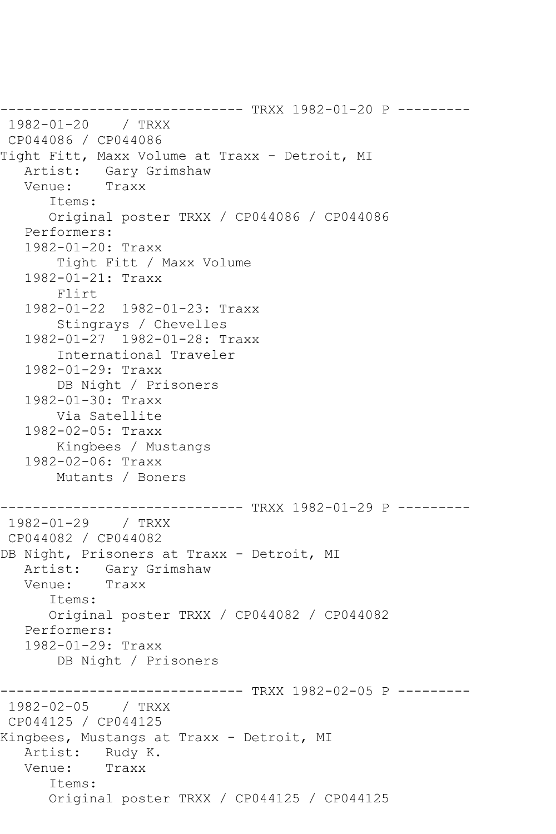------------------------------ TRXX 1982-01-20 P --------- 1982-01-20 / TRXX CP044086 / CP044086 Tight Fitt, Maxx Volume at Traxx - Detroit, MI Artist: Gary Grimshaw<br>Venue: Traxx Venue: Items: Original poster TRXX / CP044086 / CP044086 Performers: 1982-01-20: Traxx Tight Fitt / Maxx Volume 1982-01-21: Traxx Flirt 1982-01-22 1982-01-23: Traxx Stingrays / Chevelles 1982-01-27 1982-01-28: Traxx International Traveler 1982-01-29: Traxx DB Night / Prisoners 1982-01-30: Traxx Via Satellite 1982-02-05: Traxx Kingbees / Mustangs 1982-02-06: Traxx Mutants / Boners ------------------------------ TRXX 1982-01-29 P ---------  $1982 - 01 - 29$ CP044082 / CP044082 DB Night, Prisoners at Traxx - Detroit, MI Artist: Gary Grimshaw<br>Venue: Traxx Venue: Items: Original poster TRXX / CP044082 / CP044082 Performers: 1982-01-29: Traxx DB Night / Prisoners \_\_\_\_\_\_\_\_\_\_\_\_\_\_\_\_\_ ------------------------------ TRXX 1982-02-05 P ---------  $1982 - 02 - 05$ CP044125 / CP044125 Kingbees, Mustangs at Traxx - Detroit, MI Artist: Rudy K. Venue: Traxx Items: Original poster TRXX / CP044125 / CP044125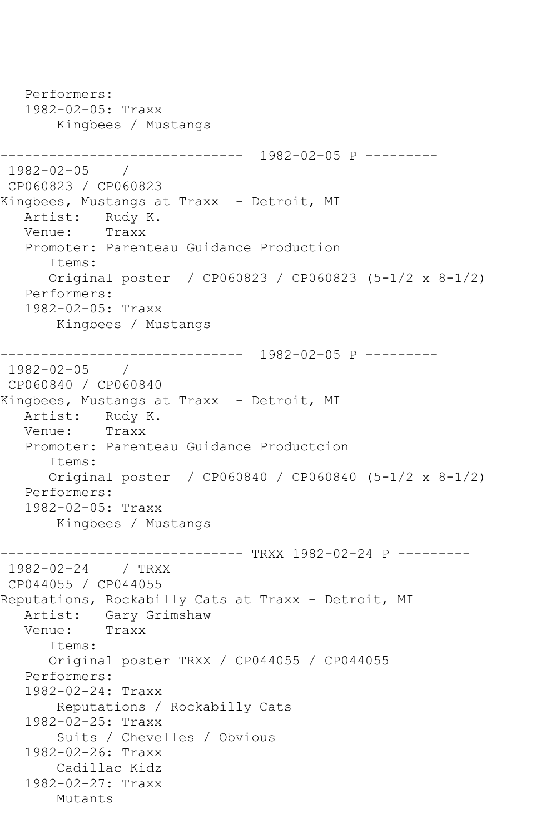```
 Performers:
   1982-02-05: Traxx
        Kingbees / Mustangs
------------------------------ 1982-02-05 P ---------
1982-02-05 / 
CP060823 / CP060823
Kingbees, Mustangs at Traxx - Detroit, MI
  Artist: Rudy K.<br>Venue: Traxx
  Venue:
   Promoter: Parenteau Guidance Production
       Items:
      Original poster / CP060823 / CP060823 (5-1/2 x 8-1/2)
   Performers:
   1982-02-05: Traxx
        Kingbees / Mustangs
------------------------------ 1982-02-05 P ---------
1982-02-05 / 
CP060840 / CP060840
Kingbees, Mustangs at Traxx - Detroit, MI
   Artist: Rudy K.
   Venue: Traxx
   Promoter: Parenteau Guidance Productcion
       Items:
      Original poster / CP060840 / CP060840 (5-1/2 x 8-1/2)
   Performers:
   1982-02-05: Traxx
       Kingbees / Mustangs
                  ------------ TRXX 1982-02-24 P ---------
1982-02-24 / TRXX 
CP044055 / CP044055
Reputations, Rockabilly Cats at Traxx - Detroit, MI
   Artist: Gary Grimshaw
   Venue: Traxx
       Items:
       Original poster TRXX / CP044055 / CP044055
   Performers:
   1982-02-24: Traxx
        Reputations / Rockabilly Cats
   1982-02-25: Traxx
        Suits / Chevelles / Obvious
   1982-02-26: Traxx
        Cadillac Kidz
   1982-02-27: Traxx
       Mutants
```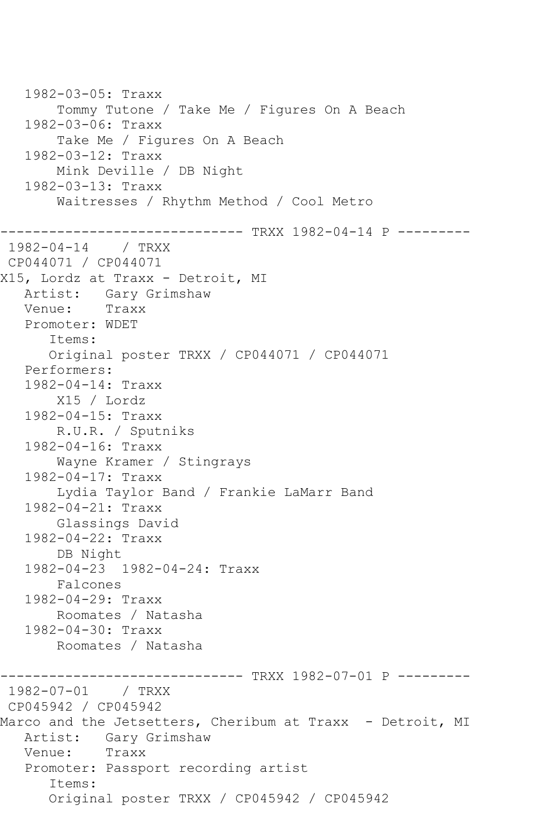1982-03-05: Traxx Tommy Tutone / Take Me / Figures On A Beach 1982-03-06: Traxx Take Me / Figures On A Beach 1982-03-12: Traxx Mink Deville / DB Night 1982-03-13: Traxx Waitresses / Rhythm Method / Cool Metro -------------------- TRXX 1982-04-14 P ---------1982-04-14 / TRXX CP044071 / CP044071 X15, Lordz at Traxx - Detroit, MI Artist: Gary Grimshaw Venue: Traxx Promoter: WDET Items: Original poster TRXX / CP044071 / CP044071 Performers: 1982-04-14: Traxx X15 / Lordz 1982-04-15: Traxx R.U.R. / Sputniks 1982-04-16: Traxx Wayne Kramer / Stingrays 1982-04-17: Traxx Lydia Taylor Band / Frankie LaMarr Band 1982-04-21: Traxx Glassings David 1982-04-22: Traxx DB Night 1982-04-23 1982-04-24: Traxx Falcones 1982-04-29: Traxx Roomates / Natasha 1982-04-30: Traxx Roomates / Natasha ------------- TRXX 1982-07-01 P ---------1982-07-01 / TRXX CP045942 / CP045942 Marco and the Jetsetters, Cheribum at Traxx - Detroit, MI Artist: Gary Grimshaw Venue: Traxx Promoter: Passport recording artist Items: Original poster TRXX / CP045942 / CP045942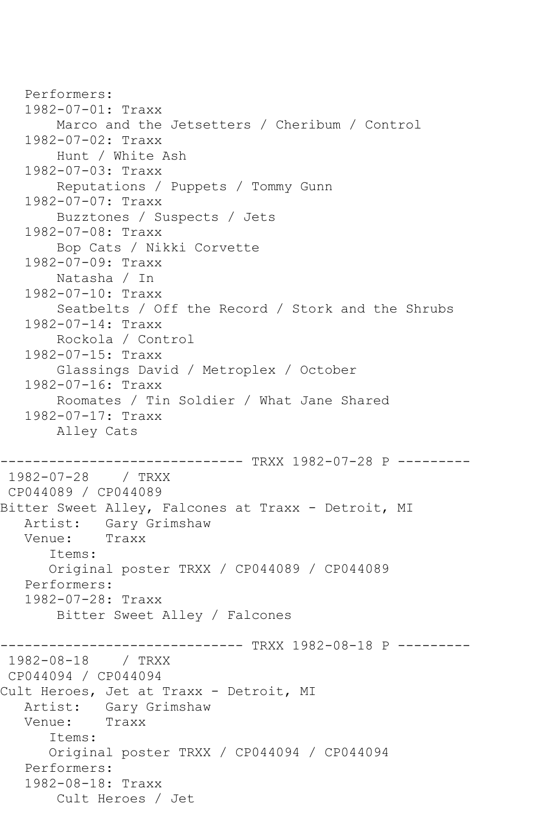```
 Performers:
    1982-07-01: Traxx
        Marco and the Jetsetters / Cheribum / Control
    1982-07-02: Traxx
        Hunt / White Ash
    1982-07-03: Traxx
        Reputations / Puppets / Tommy Gunn
    1982-07-07: Traxx
        Buzztones / Suspects / Jets
    1982-07-08: Traxx
        Bop Cats / Nikki Corvette
    1982-07-09: Traxx
        Natasha / In
    1982-07-10: Traxx
        Seatbelts / Off the Record / Stork and the Shrubs
    1982-07-14: Traxx
        Rockola / Control
    1982-07-15: Traxx
        Glassings David / Metroplex / October
    1982-07-16: Traxx
        Roomates / Tin Soldier / What Jane Shared
    1982-07-17: Traxx
        Alley Cats
          ------------------------------ TRXX 1982-07-28 P ---------
1982-07-28 / TRXX 
CP044089 / CP044089
Bitter Sweet Alley, Falcones at Traxx - Detroit, MI
  Artist: Gary Grimshaw<br>Venue: Traxx
  Venue:
       Items:
       Original poster TRXX / CP044089 / CP044089
   Performers:
    1982-07-28: Traxx
        Bitter Sweet Alley / Falcones
------------------------------ TRXX 1982-08-18 P ---------
1982-08-18 / TRXX 
CP044094 / CP044094
Cult Heroes, Jet at Traxx - Detroit, MI
   Artist: Gary Grimshaw
   Venue: Traxx
       Items:
       Original poster TRXX / CP044094 / CP044094
   Performers:
    1982-08-18: Traxx
        Cult Heroes / Jet
```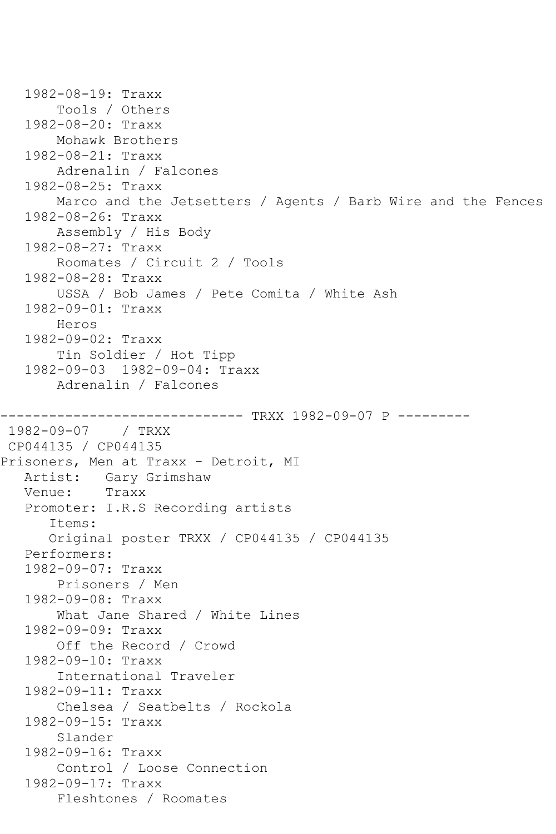```
 1982-08-19: Traxx
        Tools / Others
    1982-08-20: Traxx
        Mohawk Brothers
    1982-08-21: Traxx
        Adrenalin / Falcones
    1982-08-25: Traxx
        Marco and the Jetsetters / Agents / Barb Wire and the Fences
    1982-08-26: Traxx
        Assembly / His Body
    1982-08-27: Traxx
        Roomates / Circuit 2 / Tools
    1982-08-28: Traxx
        USSA / Bob James / Pete Comita / White Ash
    1982-09-01: Traxx
        Heros
    1982-09-02: Traxx
        Tin Soldier / Hot Tipp
    1982-09-03 1982-09-04: Traxx
        Adrenalin / Falcones
                      ------------------------------ TRXX 1982-09-07 P ---------
1982-09-07 / TRXX 
CP044135 / CP044135
Prisoners, Men at Traxx - Detroit, MI
   Artist: Gary Grimshaw<br>Venue: Traxx
   Venue:
    Promoter: I.R.S Recording artists
       Items:
       Original poster TRXX / CP044135 / CP044135
    Performers:
    1982-09-07: Traxx
        Prisoners / Men
    1982-09-08: Traxx
        What Jane Shared / White Lines
    1982-09-09: Traxx
        Off the Record / Crowd
    1982-09-10: Traxx
        International Traveler
    1982-09-11: Traxx
        Chelsea / Seatbelts / Rockola
    1982-09-15: Traxx
        Slander
    1982-09-16: Traxx
        Control / Loose Connection
    1982-09-17: Traxx
        Fleshtones / Roomates
```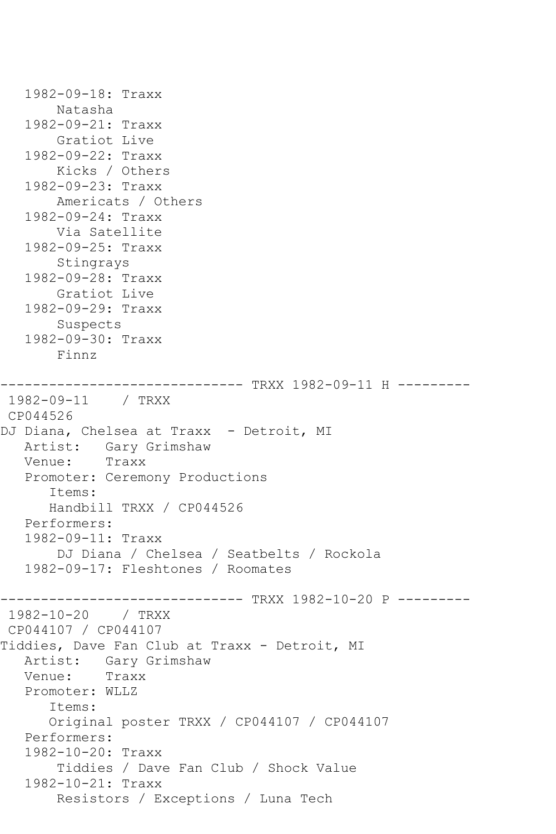Natasha 1982-09-21: Traxx Gratiot Live 1982-09-22: Traxx Kicks / Others 1982-09-23: Traxx Americats / Others 1982-09-24: Traxx Via Satellite 1982-09-25: Traxx Stingrays 1982-09-28: Traxx Gratiot Live 1982-09-29: Traxx Suspects 1982-09-30: Traxx Finnz ------------------------------ TRXX 1982-09-11 H --------- 1982-09-11 / TRXX CP044526 DJ Diana, Chelsea at Traxx - Detroit, MI Artist: Gary Grimshaw Venue: Traxx Promoter: Ceremony Productions Items: Handbill TRXX / CP044526 Performers: 1982-09-11: Traxx DJ Diana / Chelsea / Seatbelts / Rockola 1982-09-17: Fleshtones / Roomates ------------------------------ TRXX 1982-10-20 P --------- 1982-10-20 / TRXX CP044107 / CP044107 Tiddies, Dave Fan Club at Traxx - Detroit, MI Artist: Gary Grimshaw Venue: Traxx Promoter: WLLZ Items: Original poster TRXX / CP044107 / CP044107 Performers: 1982-10-20: Traxx Tiddies / Dave Fan Club / Shock Value 1982-10-21: Traxx Resistors / Exceptions / Luna Tech

1982-09-18: Traxx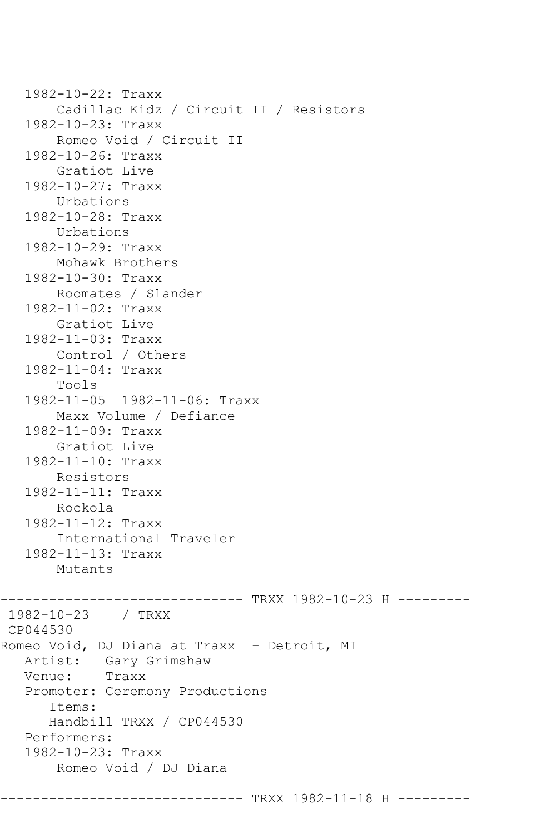```
 1982-10-22: Traxx
        Cadillac Kidz / Circuit II / Resistors
    1982-10-23: Traxx
        Romeo Void / Circuit II
    1982-10-26: Traxx
        Gratiot Live
    1982-10-27: Traxx
        Urbations
    1982-10-28: Traxx
       Urbations
    1982-10-29: Traxx
        Mohawk Brothers
    1982-10-30: Traxx
        Roomates / Slander
    1982-11-02: Traxx
        Gratiot Live
    1982-11-03: Traxx
       Control / Others
    1982-11-04: Traxx
        Tools
    1982-11-05 1982-11-06: Traxx
        Maxx Volume / Defiance
    1982-11-09: Traxx
        Gratiot Live
    1982-11-10: Traxx
       Resistors
    1982-11-11: Traxx
        Rockola
    1982-11-12: Traxx
        International Traveler
    1982-11-13: Traxx
        Mutants
------------------------------ TRXX 1982-10-23 H ---------
1982-10-23 / TRXX 
CP044530
Romeo Void, DJ Diana at Traxx - Detroit, MI
   Artist: Gary Grimshaw
   Venue: Traxx
    Promoter: Ceremony Productions
       Items:
       Handbill TRXX / CP044530
   Performers:
    1982-10-23: Traxx
        Romeo Void / DJ Diana
                      --------- TRXX 1982-11-18 H ---------
```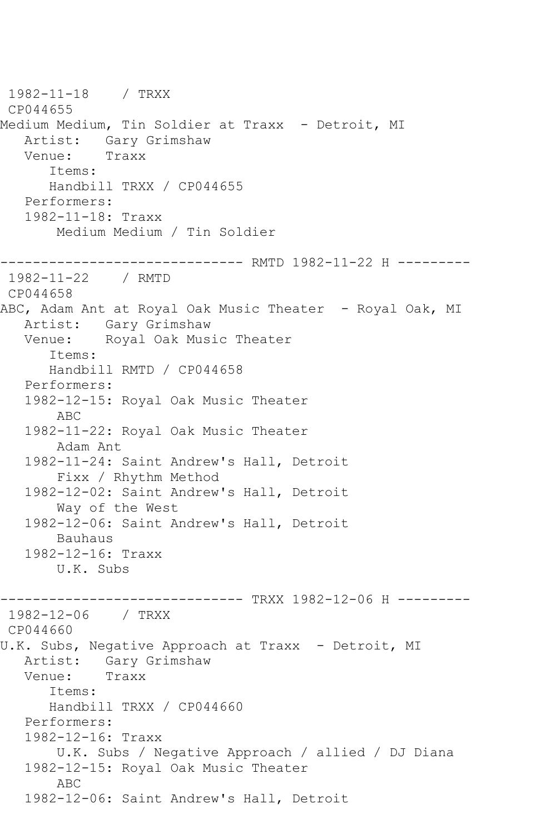1982-11-18 / TRXX CP044655 Medium Medium, Tin Soldier at Traxx - Detroit, MI Artist: Gary Grimshaw<br>Venue: Traxx Venue: Items: Handbill TRXX / CP044655 Performers: 1982-11-18: Traxx Medium Medium / Tin Soldier ------------------------------ RMTD 1982-11-22 H --------- 1982-11-22 / RMTD CP044658 ABC, Adam Ant at Royal Oak Music Theater - Royal Oak, MI Artist: Gary Grimshaw Venue: Royal Oak Music Theater Items: Handbill RMTD / CP044658 Performers: 1982-12-15: Royal Oak Music Theater ABC 1982-11-22: Royal Oak Music Theater Adam Ant 1982-11-24: Saint Andrew's Hall, Detroit Fixx / Rhythm Method 1982-12-02: Saint Andrew's Hall, Detroit Way of the West 1982-12-06: Saint Andrew's Hall, Detroit Bauhaus 1982-12-16: Traxx U.K. Subs ------------------------------ TRXX 1982-12-06 H --------- 1982-12-06 / TRXX CP044660 U.K. Subs, Negative Approach at Traxx - Detroit, MI<br>Artist: Gary Grimshaw Gary Grimshaw Venue: Traxx Items: Handbill TRXX / CP044660 Performers: 1982-12-16: Traxx U.K. Subs / Negative Approach / allied / DJ Diana 1982-12-15: Royal Oak Music Theater ABC 1982-12-06: Saint Andrew's Hall, Detroit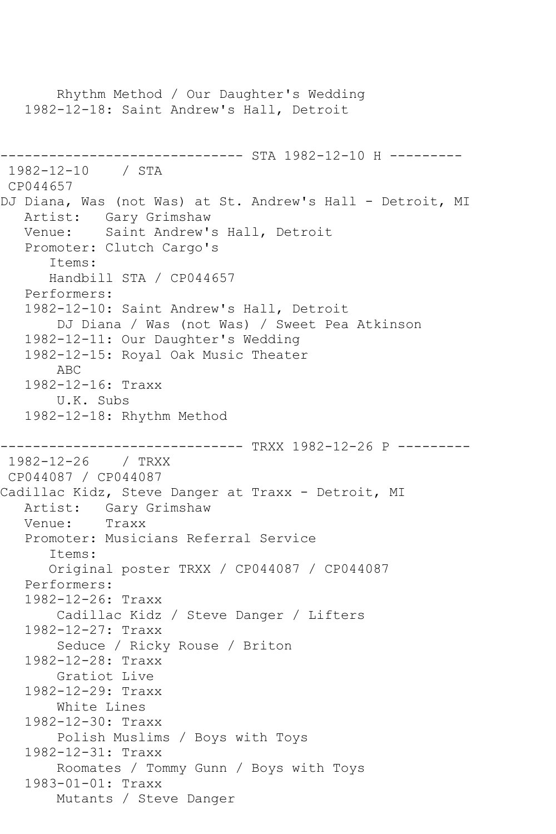Rhythm Method / Our Daughter's Wedding 1982-12-18: Saint Andrew's Hall, Detroit ------------------------------ STA 1982-12-10 H --------- 1982-12-10 / STA CP044657 DJ Diana, Was (not Was) at St. Andrew's Hall - Detroit, MI Artist: Gary Grimshaw<br>Venue: Saint Andrew's Saint Andrew's Hall, Detroit Promoter: Clutch Cargo's Items: Handbill STA / CP044657 Performers: 1982-12-10: Saint Andrew's Hall, Detroit DJ Diana / Was (not Was) / Sweet Pea Atkinson 1982-12-11: Our Daughter's Wedding 1982-12-15: Royal Oak Music Theater ABC 1982-12-16: Traxx U.K. Subs 1982-12-18: Rhythm Method ------------------------------ TRXX 1982-12-26 P --------- 1982-12-26 / TRXX CP044087 / CP044087 Cadillac Kidz, Steve Danger at Traxx - Detroit, MI Artist: Gary Grimshaw<br>Venue: Traxx Venue: Promoter: Musicians Referral Service Items: Original poster TRXX / CP044087 / CP044087 Performers: 1982-12-26: Traxx Cadillac Kidz / Steve Danger / Lifters 1982-12-27: Traxx Seduce / Ricky Rouse / Briton 1982-12-28: Traxx Gratiot Live 1982-12-29: Traxx White Lines 1982-12-30: Traxx Polish Muslims / Boys with Toys 1982-12-31: Traxx Roomates / Tommy Gunn / Boys with Toys 1983-01-01: Traxx Mutants / Steve Danger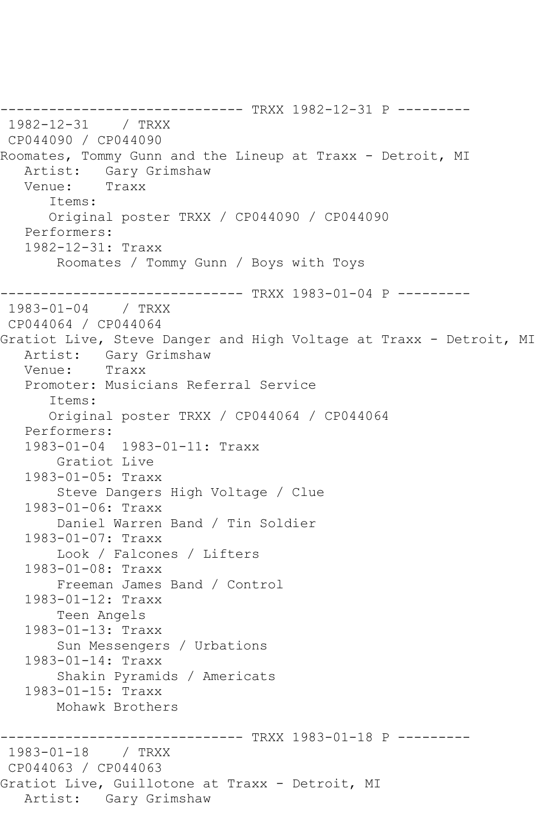------------------------------ TRXX 1982-12-31 P --------- 1982-12-31 / TRXX CP044090 / CP044090 Roomates, Tommy Gunn and the Lineup at Traxx - Detroit, MI Artist: Gary Grimshaw<br>Venue: Traxx Venue: Items: Original poster TRXX / CP044090 / CP044090 Performers: 1982-12-31: Traxx Roomates / Tommy Gunn / Boys with Toys ------------------------------ TRXX 1983-01-04 P ---------  $1983 - 01 - 04$ CP044064 / CP044064 Gratiot Live, Steve Danger and High Voltage at Traxx - Detroit, MI Artist: Gary Grimshaw<br>Venue: Traxx Venue: Promoter: Musicians Referral Service Items: Original poster TRXX / CP044064 / CP044064 Performers: 1983-01-04 1983-01-11: Traxx Gratiot Live 1983-01-05: Traxx Steve Dangers High Voltage / Clue 1983-01-06: Traxx Daniel Warren Band / Tin Soldier 1983-01-07: Traxx Look / Falcones / Lifters 1983-01-08: Traxx Freeman James Band / Control 1983-01-12: Traxx Teen Angels 1983-01-13: Traxx Sun Messengers / Urbations 1983-01-14: Traxx Shakin Pyramids / Americats 1983-01-15: Traxx Mohawk Brothers ------------------------------ TRXX 1983-01-18 P ---------  $1983 - 01 - 18$ CP044063 / CP044063 Gratiot Live, Guillotone at Traxx - Detroit, MI Artist: Gary Grimshaw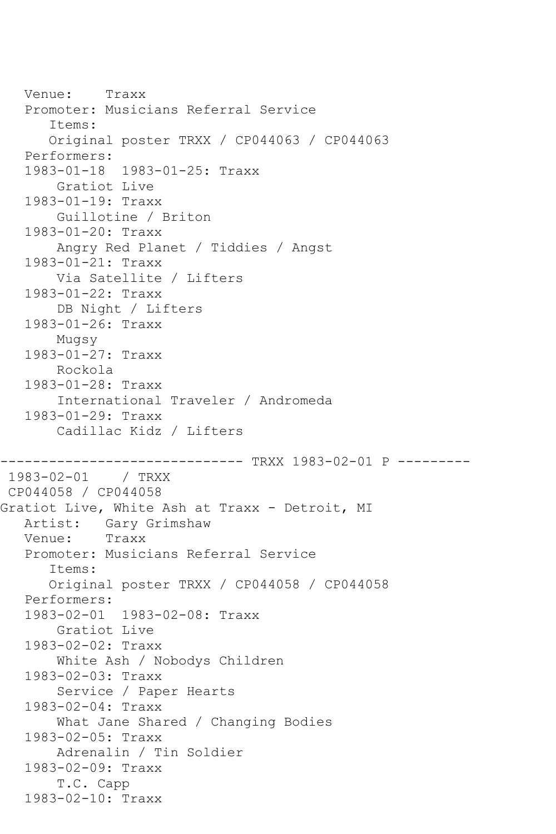Venue: Traxx Promoter: Musicians Referral Service Items: Original poster TRXX / CP044063 / CP044063 Performers: 1983-01-18 1983-01-25: Traxx Gratiot Live 1983-01-19: Traxx Guillotine / Briton 1983-01-20: Traxx Angry Red Planet / Tiddies / Angst 1983-01-21: Traxx Via Satellite / Lifters 1983-01-22: Traxx DB Night / Lifters 1983-01-26: Traxx Mugsy 1983-01-27: Traxx Rockola 1983-01-28: Traxx International Traveler / Andromeda 1983-01-29: Traxx Cadillac Kidz / Lifters ---------------- TRXX 1983-02-01 P ---------<br>/ TRXX  $1983 - 02 - 01$ CP044058 / CP044058 Gratiot Live, White Ash at Traxx - Detroit, MI Artist: Gary Grimshaw<br>Venue: Traxx Venue: Promoter: Musicians Referral Service Items: Original poster TRXX / CP044058 / CP044058 Performers: 1983-02-01 1983-02-08: Traxx Gratiot Live 1983-02-02: Traxx White Ash / Nobodys Children 1983-02-03: Traxx Service / Paper Hearts 1983-02-04: Traxx What Jane Shared / Changing Bodies 1983-02-05: Traxx Adrenalin / Tin Soldier 1983-02-09: Traxx T.C. Capp 1983-02-10: Traxx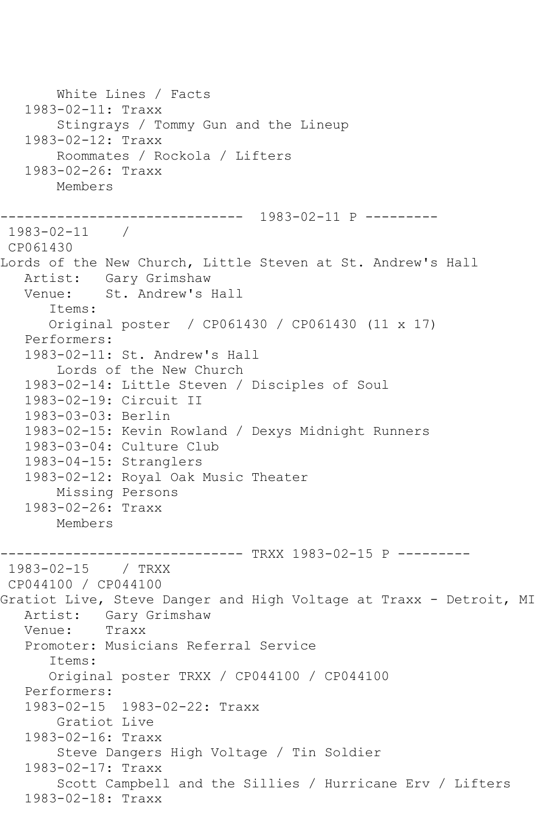White Lines / Facts 1983-02-11: Traxx Stingrays / Tommy Gun and the Lineup 1983-02-12: Traxx Roommates / Rockola / Lifters 1983-02-26: Traxx Members ------------------------------ 1983-02-11 P --------- 1983-02-11 / CP061430 Lords of the New Church, Little Steven at St. Andrew's Hall Artist: Gary Grimshaw<br>Venue: St. Andrew's J St. Andrew's Hall Items: Original poster / CP061430 / CP061430 (11 x 17) Performers: 1983-02-11: St. Andrew's Hall Lords of the New Church 1983-02-14: Little Steven / Disciples of Soul 1983-02-19: Circuit II 1983-03-03: Berlin 1983-02-15: Kevin Rowland / Dexys Midnight Runners 1983-03-04: Culture Club 1983-04-15: Stranglers 1983-02-12: Royal Oak Music Theater Missing Persons 1983-02-26: Traxx Members ------------------------------ TRXX 1983-02-15 P --------- 1983-02-15 / TRXX CP044100 / CP044100 Gratiot Live, Steve Danger and High Voltage at Traxx - Detroit, MI Artist: Gary Grimshaw Venue: Traxx Promoter: Musicians Referral Service Items: Original poster TRXX / CP044100 / CP044100 Performers: 1983-02-15 1983-02-22: Traxx Gratiot Live 1983-02-16: Traxx Steve Dangers High Voltage / Tin Soldier 1983-02-17: Traxx Scott Campbell and the Sillies / Hurricane Erv / Lifters 1983-02-18: Traxx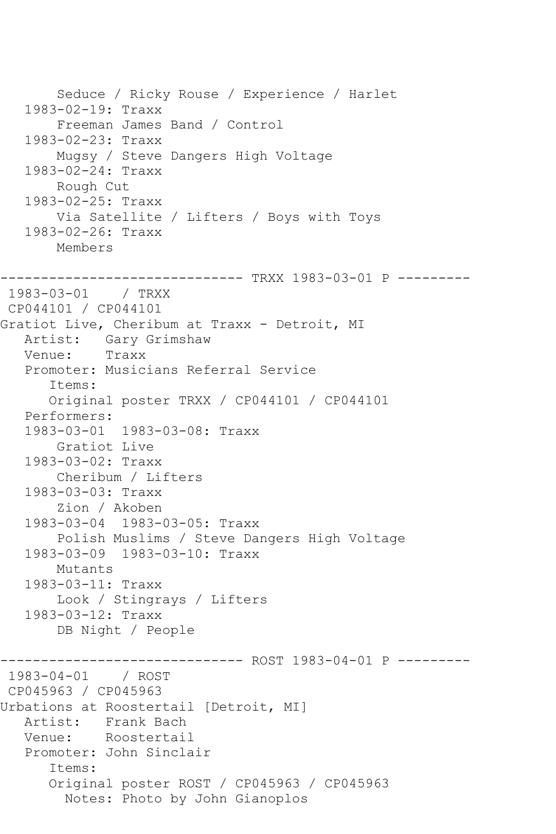Seduce / Ricky Rouse / Experience / Harlet 1983-02-19: Traxx Freeman James Band / Control 1983-02-23: Traxx Mugsy / Steve Dangers High Voltage 1983-02-24: Traxx Rough Cut 1983-02-25: Traxx Via Satellite / Lifters / Boys with Toys 1983-02-26: Traxx Members ------------------------------ TRXX 1983-03-01 P --------- 1983-03-01 / TRXX CP044101 / CP044101 Gratiot Live, Cheribum at Traxx - Detroit, MI Artist: Gary Grimshaw<br>Venue: Traxx Venue: Promoter: Musicians Referral Service Items: Original poster TRXX / CP044101 / CP044101 Performers: 1983-03-01 1983-03-08: Traxx Gratiot Live 1983-03-02: Traxx Cheribum / Lifters 1983-03-03: Traxx Zion / Akoben 1983-03-04 1983-03-05: Traxx Polish Muslims / Steve Dangers High Voltage 1983-03-09 1983-03-10: Traxx Mutants 1983-03-11: Traxx Look / Stingrays / Lifters 1983-03-12: Traxx DB Night / People ------------- ROST 1983-04-01 P ---------1983-04-01 / ROST CP045963 / CP045963 Urbations at Roostertail [Detroit, MI] Artist: Frank Bach Venue: Roostertail Promoter: John Sinclair Items: Original poster ROST / CP045963 / CP045963 Notes: Photo by John Gianoplos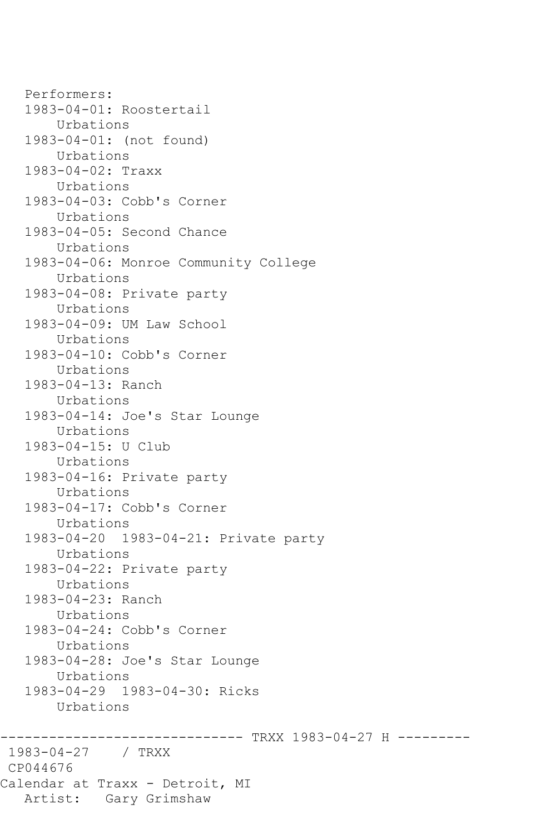Performers: 1983-04-01: Roostertail Urbations 1983-04-01: (not found) Urbations 1983-04-02: Traxx Urbations 1983-04-03: Cobb's Corner Urbations 1983-04-05: Second Chance Urbations 1983-04-06: Monroe Community College Urbations 1983-04-08: Private party Urbations 1983-04-09: UM Law School Urbations 1983-04-10: Cobb's Corner Urbations 1983-04-13: Ranch Urbations 1983-04-14: Joe's Star Lounge Urbations 1983-04-15: U Club Urbations 1983-04-16: Private party Urbations 1983-04-17: Cobb's Corner Urbations 1983-04-20 1983-04-21: Private party Urbations 1983-04-22: Private party Urbations 1983-04-23: Ranch Urbations 1983-04-24: Cobb's Corner Urbations 1983-04-28: Joe's Star Lounge Urbations 1983-04-29 1983-04-30: Ricks Urbations -------------- TRXX 1983-04-27 H ---------1983-04-27 / TRXX CP044676 Calendar at Traxx - Detroit, MI Artist: Gary Grimshaw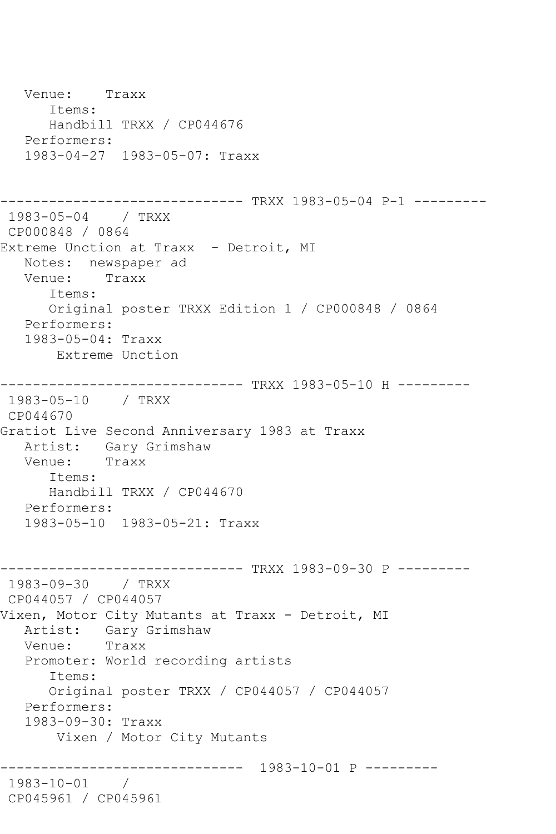Venue: Traxx Items: Handbill TRXX / CP044676 Performers: 1983-04-27 1983-05-07: Traxx ------------------------------ TRXX 1983-05-04 P-1 --------- 1983-05-04 / TRXX CP000848 / 0864 Extreme Unction at Traxx - Detroit, MI Notes: newspaper ad<br>Venue: Traxx Venue: Items: Original poster TRXX Edition 1 / CP000848 / 0864 Performers: 1983-05-04: Traxx Extreme Unction ------------------------------ TRXX 1983-05-10 H --------- 1983-05-10 / TRXX CP044670 Gratiot Live Second Anniversary 1983 at Traxx Artist: Gary Grimshaw Venue: Traxx Items: Handbill TRXX / CP044670 Performers: 1983-05-10 1983-05-21: Traxx ------------------------------ TRXX 1983-09-30 P --------- 1983-09-30 / TRXX CP044057 / CP044057 Vixen, Motor City Mutants at Traxx - Detroit, MI Artist: Gary Grimshaw Venue: Traxx Promoter: World recording artists Items: Original poster TRXX / CP044057 / CP044057 Performers: 1983-09-30: Traxx Vixen / Motor City Mutants ------------------------------ 1983-10-01 P --------- 1983-10-01 / CP045961 / CP045961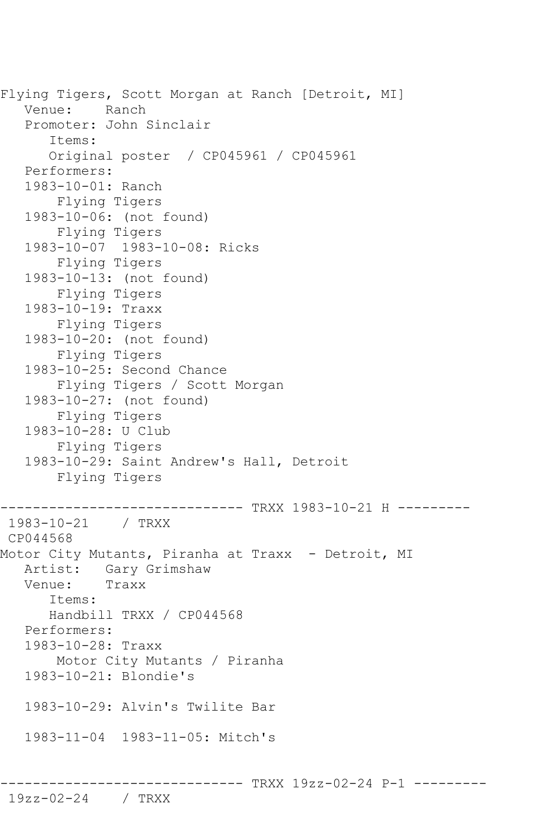Flying Tigers, Scott Morgan at Ranch [Detroit, MI] Venue: Ranch Promoter: John Sinclair Items: Original poster / CP045961 / CP045961 Performers: 1983-10-01: Ranch Flying Tigers 1983-10-06: (not found) Flying Tigers 1983-10-07 1983-10-08: Ricks Flying Tigers 1983-10-13: (not found) Flying Tigers 1983-10-19: Traxx Flying Tigers 1983-10-20: (not found) Flying Tigers 1983-10-25: Second Chance Flying Tigers / Scott Morgan 1983-10-27: (not found) Flying Tigers 1983-10-28: U Club Flying Tigers 1983-10-29: Saint Andrew's Hall, Detroit Flying Tigers ----------------------------- TRXX 1983-10-21 H ---------1983-10-21 / TRXX CP044568 Motor City Mutants, Piranha at Traxx - Detroit, MI Artist: Gary Grimshaw<br>Venue: Traxx Venue: Items: Handbill TRXX / CP044568 Performers: 1983-10-28: Traxx Motor City Mutants / Piranha 1983-10-21: Blondie's 1983-10-29: Alvin's Twilite Bar 1983-11-04 1983-11-05: Mitch's

------------------------------ TRXX 19zz-02-24 P-1 ---------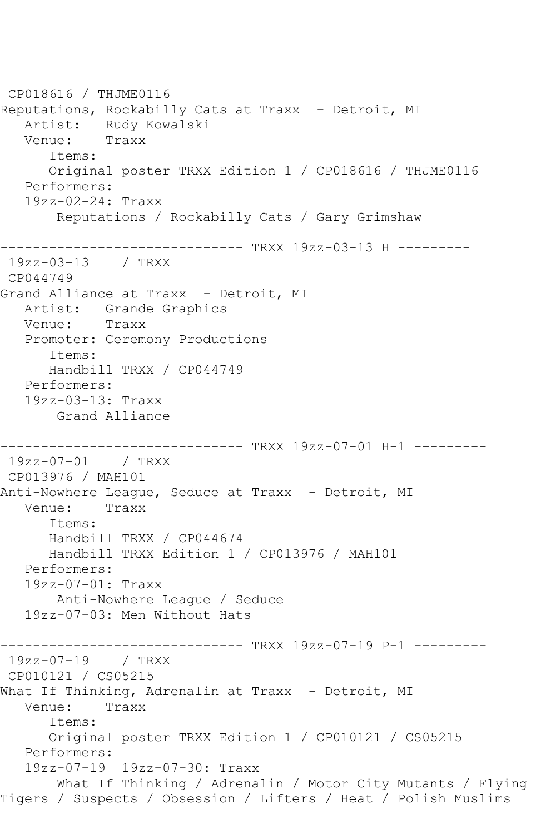CP018616 / THJME0116 Reputations, Rockabilly Cats at Traxx - Detroit, MI Artist: Rudy Kowalski<br>Venue: Traxx Venue: Items: Original poster TRXX Edition 1 / CP018616 / THJME0116 Performers: 19zz-02-24: Traxx Reputations / Rockabilly Cats / Gary Grimshaw ------------------------------ TRXX 19zz-03-13 H --------- 19zz-03-13 / TRXX CP044749 Grand Alliance at Traxx - Detroit, MI Artist: Grande Graphics<br>Venue: Traxx Venue: Promoter: Ceremony Productions Items: Handbill TRXX / CP044749 Performers: 19zz-03-13: Traxx Grand Alliance ------------------------------ TRXX 19zz-07-01 H-1 --------- 19zz-07-01 / TRXX CP013976 / MAH101 Anti-Nowhere League, Seduce at Traxx - Detroit, MI Venue: Traxx Items: Handbill TRXX / CP044674 Handbill TRXX Edition 1 / CP013976 / MAH101 Performers: 19zz-07-01: Traxx Anti-Nowhere League / Seduce 19zz-07-03: Men Without Hats ------------------------------ TRXX 19zz-07-19 P-1 --------- 19zz-07-19 / TRXX CP010121 / CS05215 What If Thinking, Adrenalin at Traxx - Detroit, MI Venue: Traxx Items: Original poster TRXX Edition 1 / CP010121 / CS05215 Performers: 19zz-07-19 19zz-07-30: Traxx What If Thinking / Adrenalin / Motor City Mutants / Flying Tigers / Suspects / Obsession / Lifters / Heat / Polish Muslims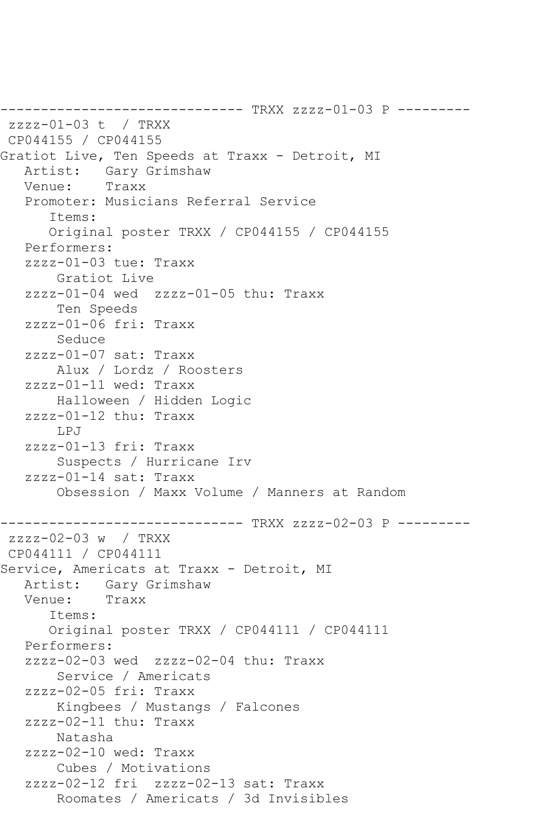------------------------------ TRXX zzzz-01-03 P -------- zzzz-01-03 t / TRXX CP044155 / CP044155 Gratiot Live, Ten Speeds at Traxx - Detroit, MI<br>Artist: Gary Grimshaw Gary Grimshaw<br>Traxx Venue: Promoter: Musicians Referral Service Items: Original poster TRXX / CP044155 / CP044155 Performers: zzzz-01-03 tue: Traxx Gratiot Live zzzz-01-04 wed zzzz-01-05 thu: Traxx Ten Speeds zzzz-01-06 fri: Traxx Seduce zzzz-01-07 sat: Traxx Alux / Lordz / Roosters zzzz-01-11 wed: Traxx Halloween / Hidden Logic zzzz-01-12 thu: Traxx LPJ zzzz-01-13 fri: Traxx Suspects / Hurricane Irv zzzz-01-14 sat: Traxx Obsession / Maxx Volume / Manners at Random ------------------------------ TRXX zzzz-02-03 P -------- zzzz-02-03 w / TRXX CP044111 / CP044111 Service, Americats at Traxx - Detroit, MI Artist: Gary Grimshaw<br>Venue: Traxx Venue: Items: Original poster TRXX / CP044111 / CP044111 Performers: zzzz-02-03 wed zzzz-02-04 thu: Traxx Service / Americats zzzz-02-05 fri: Traxx Kingbees / Mustangs / Falcones zzzz-02-11 thu: Traxx Natasha zzzz-02-10 wed: Traxx Cubes / Motivations zzzz-02-12 fri zzzz-02-13 sat: Traxx Roomates / Americats / 3d Invisibles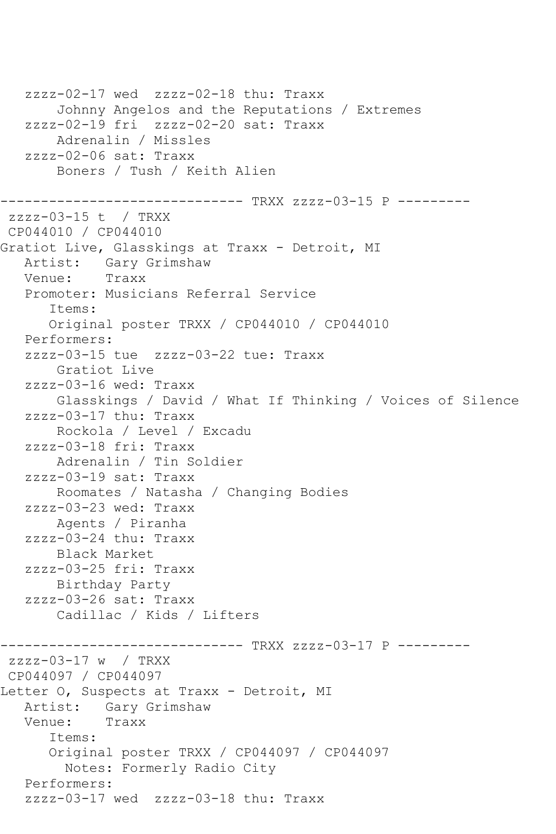zzzz-02-17 wed zzzz-02-18 thu: Traxx Johnny Angelos and the Reputations / Extremes zzzz-02-19 fri zzzz-02-20 sat: Traxx Adrenalin / Missles zzzz-02-06 sat: Traxx Boners / Tush / Keith Alien ------------------------------ TRXX zzzz-03-15 P -------- zzzz-03-15 t / TRXX CP044010 / CP044010 Gratiot Live, Glasskings at Traxx - Detroit, MI Artist: Gary Grimshaw<br>Venue: Traxx Venue: Promoter: Musicians Referral Service Items: Original poster TRXX / CP044010 / CP044010 Performers: zzzz-03-15 tue zzzz-03-22 tue: Traxx Gratiot Live zzzz-03-16 wed: Traxx Glasskings / David / What If Thinking / Voices of Silence zzzz-03-17 thu: Traxx Rockola / Level / Excadu zzzz-03-18 fri: Traxx Adrenalin / Tin Soldier zzzz-03-19 sat: Traxx Roomates / Natasha / Changing Bodies zzzz-03-23 wed: Traxx Agents / Piranha zzzz-03-24 thu: Traxx Black Market zzzz-03-25 fri: Traxx Birthday Party zzzz-03-26 sat: Traxx Cadillac / Kids / Lifters ------------------------------ TRXX zzzz-03-17 P -------- zzzz-03-17 w / TRXX CP044097 / CP044097 Letter O, Suspects at Traxx - Detroit, MI<br>Artist: Gary Grimshaw Gary Grimshaw Venue: Traxx Items: Original poster TRXX / CP044097 / CP044097 Notes: Formerly Radio City Performers: zzzz-03-17 wed zzzz-03-18 thu: Traxx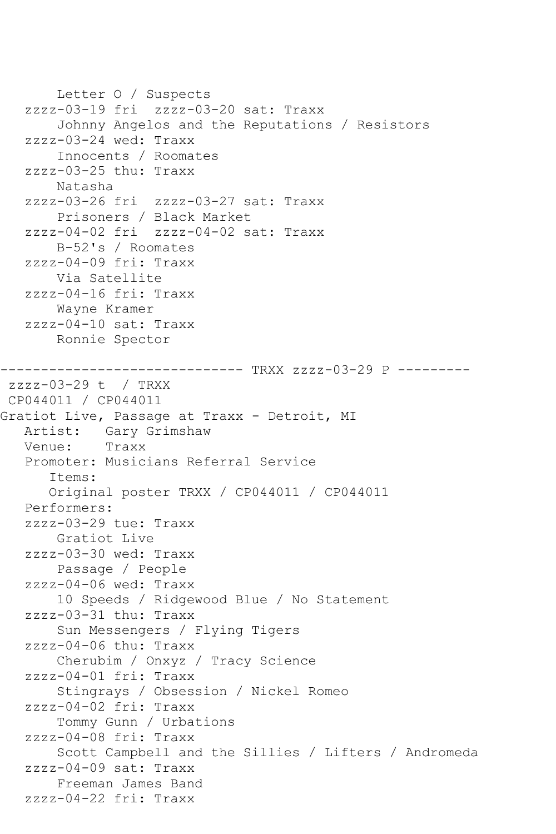Letter O / Suspects zzzz-03-19 fri zzzz-03-20 sat: Traxx Johnny Angelos and the Reputations / Resistors zzzz-03-24 wed: Traxx Innocents / Roomates zzzz-03-25 thu: Traxx Natasha zzzz-03-26 fri zzzz-03-27 sat: Traxx Prisoners / Black Market zzzz-04-02 fri zzzz-04-02 sat: Traxx B-52's / Roomates zzzz-04-09 fri: Traxx Via Satellite zzzz-04-16 fri: Traxx Wayne Kramer zzzz-04-10 sat: Traxx Ronnie Spector ------------------------------ TRXX zzzz-03-29 P -------- zzzz-03-29 t / TRXX CP044011 / CP044011 Gratiot Live, Passage at Traxx - Detroit, MI Artist: Gary Grimshaw<br>Venue: Traxx Venue: Promoter: Musicians Referral Service Items: Original poster TRXX / CP044011 / CP044011 Performers: zzzz-03-29 tue: Traxx Gratiot Live zzzz-03-30 wed: Traxx Passage / People zzzz-04-06 wed: Traxx 10 Speeds / Ridgewood Blue / No Statement zzzz-03-31 thu: Traxx Sun Messengers / Flying Tigers zzzz-04-06 thu: Traxx Cherubim / Onxyz / Tracy Science zzzz-04-01 fri: Traxx Stingrays / Obsession / Nickel Romeo zzzz-04-02 fri: Traxx Tommy Gunn / Urbations zzzz-04-08 fri: Traxx Scott Campbell and the Sillies / Lifters / Andromeda zzzz-04-09 sat: Traxx Freeman James Band zzzz-04-22 fri: Traxx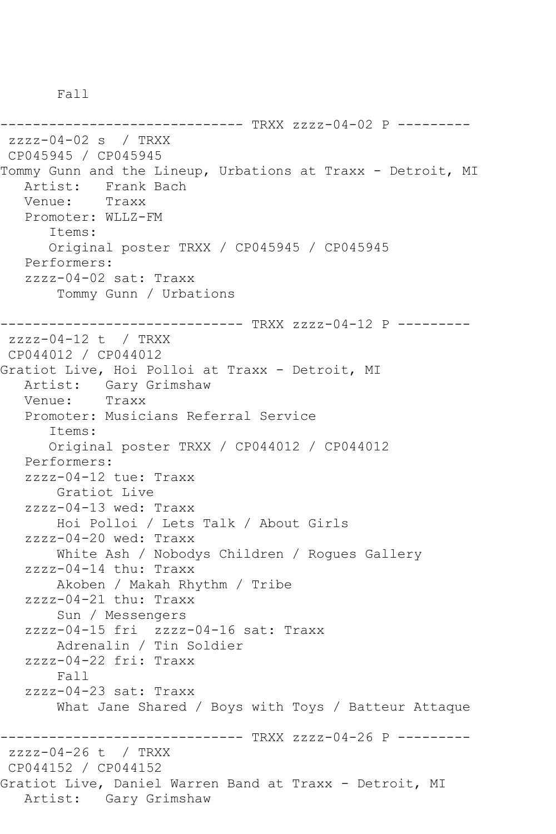Fall

------------------------------ TRXX zzzz-04-02 P -------- zzzz-04-02 s / TRXX CP045945 / CP045945 Tommy Gunn and the Lineup, Urbations at Traxx - Detroit, MI Artist: Frank Bach<br>Venue: Traxx Venue: Promoter: WLLZ-FM Items: Original poster TRXX / CP045945 / CP045945 Performers: zzzz-04-02 sat: Traxx Tommy Gunn / Urbations ------------------------------ TRXX zzzz-04-12 P -------- zzzz-04-12 t / TRXX CP044012 / CP044012 Gratiot Live, Hoi Polloi at Traxx - Detroit, MI Artist: Gary Grimshaw Venue: Traxx Promoter: Musicians Referral Service Items: Original poster TRXX / CP044012 / CP044012 Performers: zzzz-04-12 tue: Traxx Gratiot Live zzzz-04-13 wed: Traxx Hoi Polloi / Lets Talk / About Girls zzzz-04-20 wed: Traxx White Ash / Nobodys Children / Rogues Gallery zzzz-04-14 thu: Traxx Akoben / Makah Rhythm / Tribe zzzz-04-21 thu: Traxx Sun / Messengers zzzz-04-15 fri zzzz-04-16 sat: Traxx Adrenalin / Tin Soldier zzzz-04-22 fri: Traxx Fall zzzz-04-23 sat: Traxx What Jane Shared / Boys with Toys / Batteur Attaque ------------------------------ TRXX zzzz-04-26 P -------- zzzz-04-26 t / TRXX CP044152 / CP044152 Gratiot Live, Daniel Warren Band at Traxx - Detroit, MI Artist: Gary Grimshaw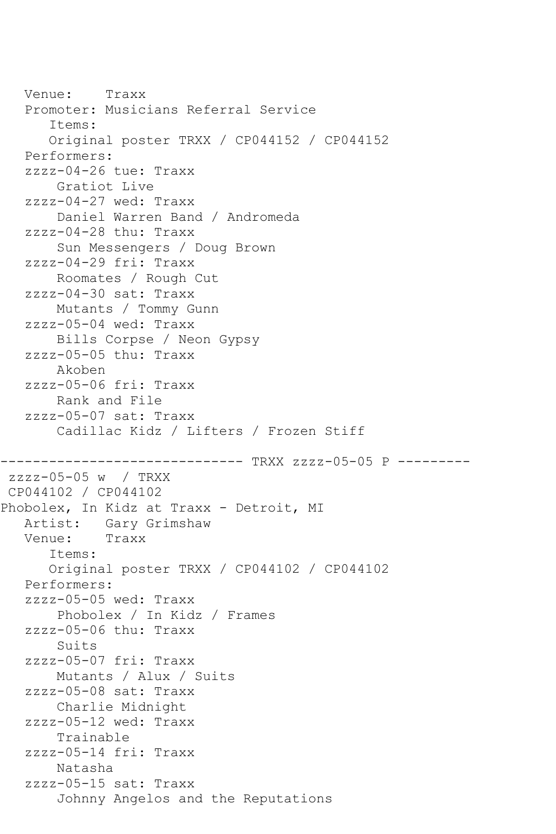Venue: Traxx Promoter: Musicians Referral Service Items: Original poster TRXX / CP044152 / CP044152 Performers: zzzz-04-26 tue: Traxx Gratiot Live zzzz-04-27 wed: Traxx Daniel Warren Band / Andromeda zzzz-04-28 thu: Traxx Sun Messengers / Doug Brown zzzz-04-29 fri: Traxx Roomates / Rough Cut zzzz-04-30 sat: Traxx Mutants / Tommy Gunn zzzz-05-04 wed: Traxx Bills Corpse / Neon Gypsy zzzz-05-05 thu: Traxx Akoben zzzz-05-06 fri: Traxx Rank and File zzzz-05-07 sat: Traxx Cadillac Kidz / Lifters / Frozen Stiff ----------------- TRXX zzzz-05-05 P --------zzzz-05-05 w / TRXX CP044102 / CP044102 Phobolex, In Kidz at Traxx - Detroit, MI Artist: Gary Grimshaw<br>Venue: Traxx Venue: Items: Original poster TRXX / CP044102 / CP044102 Performers: zzzz-05-05 wed: Traxx Phobolex / In Kidz / Frames zzzz-05-06 thu: Traxx Suits zzzz-05-07 fri: Traxx Mutants / Alux / Suits zzzz-05-08 sat: Traxx Charlie Midnight zzzz-05-12 wed: Traxx Trainable zzzz-05-14 fri: Traxx Natasha zzzz-05-15 sat: Traxx Johnny Angelos and the Reputations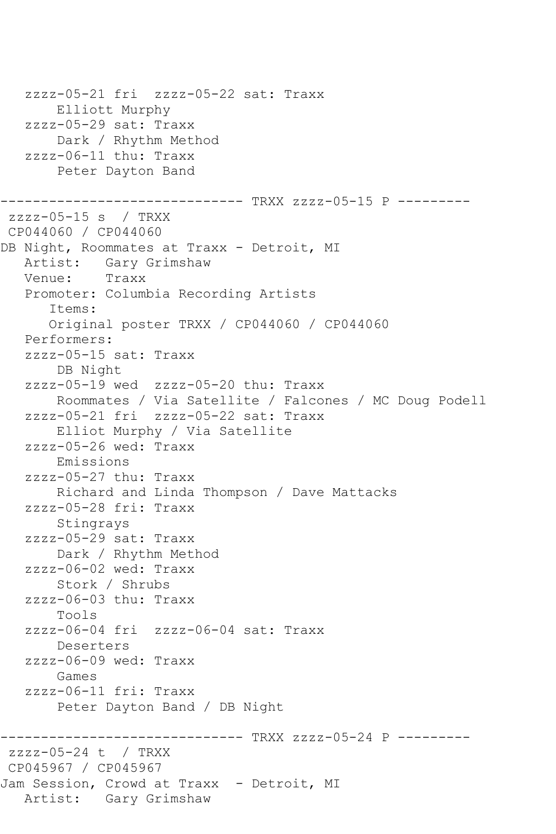zzzz-05-21 fri zzzz-05-22 sat: Traxx Elliott Murphy zzzz-05-29 sat: Traxx Dark / Rhythm Method zzzz-06-11 thu: Traxx Peter Dayton Band ------------------------------ TRXX zzzz-05-15 P -------- zzzz-05-15 s / TRXX CP044060 / CP044060 DB Night, Roommates at Traxx - Detroit, MI<br>Artist: Gary Grimshaw Gary Grimshaw<br>Traxx Venue: Promoter: Columbia Recording Artists Items: Original poster TRXX / CP044060 / CP044060 Performers: zzzz-05-15 sat: Traxx DB Night zzzz-05-19 wed zzzz-05-20 thu: Traxx Roommates / Via Satellite / Falcones / MC Doug Podell zzzz-05-21 fri zzzz-05-22 sat: Traxx Elliot Murphy / Via Satellite zzzz-05-26 wed: Traxx Emissions zzzz-05-27 thu: Traxx Richard and Linda Thompson / Dave Mattacks zzzz-05-28 fri: Traxx Stingrays zzzz-05-29 sat: Traxx Dark / Rhythm Method zzzz-06-02 wed: Traxx Stork / Shrubs zzzz-06-03 thu: Traxx Tools zzzz-06-04 fri zzzz-06-04 sat: Traxx Deserters zzzz-06-09 wed: Traxx Games zzzz-06-11 fri: Traxx Peter Dayton Band / DB Night ------------------------------ TRXX zzzz-05-24 P -------- zzzz-05-24 t / TRXX CP045967 / CP045967 Jam Session, Crowd at Traxx - Detroit, MI Artist: Gary Grimshaw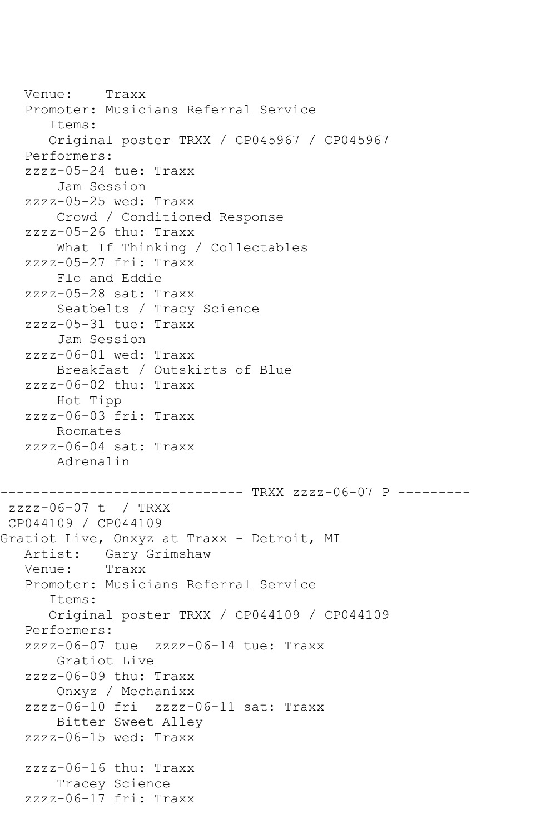Venue: Traxx Promoter: Musicians Referral Service Items: Original poster TRXX / CP045967 / CP045967 Performers: zzzz-05-24 tue: Traxx Jam Session zzzz-05-25 wed: Traxx Crowd / Conditioned Response zzzz-05-26 thu: Traxx What If Thinking / Collectables zzzz-05-27 fri: Traxx Flo and Eddie zzzz-05-28 sat: Traxx Seatbelts / Tracy Science zzzz-05-31 tue: Traxx Jam Session zzzz-06-01 wed: Traxx Breakfast / Outskirts of Blue zzzz-06-02 thu: Traxx Hot Tipp zzzz-06-03 fri: Traxx Roomates zzzz-06-04 sat: Traxx Adrenalin ------------------------------ TRXX zzzz-06-07 P -------- zzzz-06-07 t / TRXX CP044109 / CP044109 Gratiot Live, Onxyz at Traxx - Detroit, MI Artist: Gary Grimshaw<br>Venue: Traxx Venue: Promoter: Musicians Referral Service Items: Original poster TRXX / CP044109 / CP044109 Performers: zzzz-06-07 tue zzzz-06-14 tue: Traxx Gratiot Live zzzz-06-09 thu: Traxx Onxyz / Mechanixx zzzz-06-10 fri zzzz-06-11 sat: Traxx Bitter Sweet Alley zzzz-06-15 wed: Traxx zzzz-06-16 thu: Traxx Tracey Science zzzz-06-17 fri: Traxx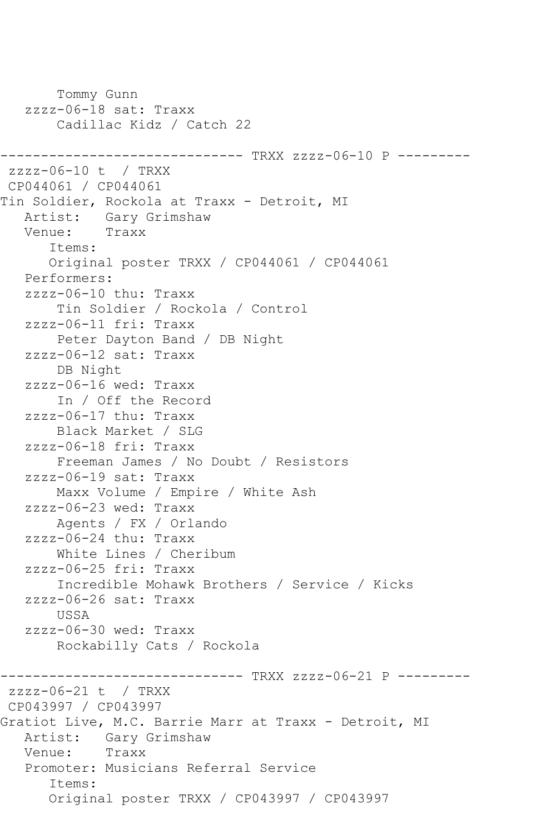```
 Tommy Gunn
    zzzz-06-18 sat: Traxx
        Cadillac Kidz / Catch 22
------------------------------ TRXX zzzz-06-10 P ---------
zzzz-06-10 t / TRXX 
CP044061 / CP044061
Tin Soldier, Rockola at Traxx - Detroit, MI
   Artist: Gary Grimshaw
   Venue: Traxx
       Items:
       Original poster TRXX / CP044061 / CP044061
    Performers:
    zzzz-06-10 thu: Traxx
        Tin Soldier / Rockola / Control
    zzzz-06-11 fri: Traxx
        Peter Dayton Band / DB Night
    zzzz-06-12 sat: Traxx
        DB Night
    zzzz-06-16 wed: Traxx
        In / Off the Record
    zzzz-06-17 thu: Traxx
        Black Market / SLG
    zzzz-06-18 fri: Traxx
        Freeman James / No Doubt / Resistors
    zzzz-06-19 sat: Traxx
        Maxx Volume / Empire / White Ash
    zzzz-06-23 wed: Traxx
        Agents / FX / Orlando
    zzzz-06-24 thu: Traxx
        White Lines / Cheribum
    zzzz-06-25 fri: Traxx
        Incredible Mohawk Brothers / Service / Kicks
    zzzz-06-26 sat: Traxx
        USSA
    zzzz-06-30 wed: Traxx
        Rockabilly Cats / Rockola
------------------------------ TRXX zzzz-06-21 P ---------
zzzz-06-21 t / TRXX 
CP043997 / CP043997
Gratiot Live, M.C. Barrie Marr at Traxx - Detroit, MI
   Artist: Gary Grimshaw
   Venue: Traxx
    Promoter: Musicians Referral Service
       Items:
       Original poster TRXX / CP043997 / CP043997
```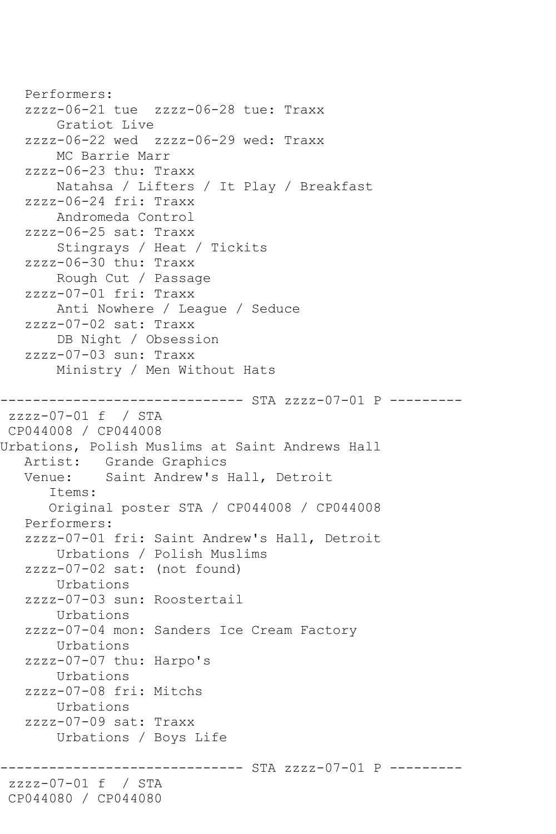```
 Performers:
    zzzz-06-21 tue zzzz-06-28 tue: Traxx
        Gratiot Live
    zzzz-06-22 wed zzzz-06-29 wed: Traxx
        MC Barrie Marr
    zzzz-06-23 thu: Traxx
        Natahsa / Lifters / It Play / Breakfast
    zzzz-06-24 fri: Traxx
        Andromeda Control
    zzzz-06-25 sat: Traxx
        Stingrays / Heat / Tickits
    zzzz-06-30 thu: Traxx
        Rough Cut / Passage
    zzzz-07-01 fri: Traxx
        Anti Nowhere / League / Seduce
    zzzz-07-02 sat: Traxx
        DB Night / Obsession
    zzzz-07-03 sun: Traxx
        Ministry / Men Without Hats
------------------------------ STA zzzz-07-01 P ---------
zzzz-07-01 f / STA 
CP044008 / CP044008
Urbations, Polish Muslims at Saint Andrews Hall
  Artist: Grande Graphics<br>Venue: Saint Andrew's
             Saint Andrew's Hall, Detroit
       Items:
       Original poster STA / CP044008 / CP044008
    Performers:
    zzzz-07-01 fri: Saint Andrew's Hall, Detroit
        Urbations / Polish Muslims
    zzzz-07-02 sat: (not found)
        Urbations
    zzzz-07-03 sun: Roostertail
        Urbations
    zzzz-07-04 mon: Sanders Ice Cream Factory
        Urbations
    zzzz-07-07 thu: Harpo's
        Urbations
    zzzz-07-08 fri: Mitchs
        Urbations
    zzzz-07-09 sat: Traxx
        Urbations / Boys Life
                      --------- STA zzzz-07-01 P ---------
zzzz-07-01 f / STA 
CP044080 / CP044080
```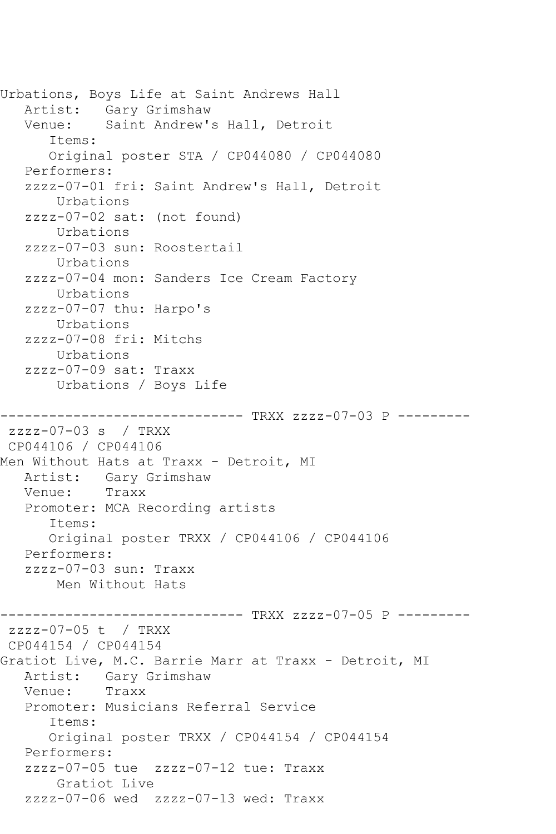Urbations, Boys Life at Saint Andrews Hall Artist: Gary Grimshaw Venue: Saint Andrew's Hall, Detroit Items: Original poster STA / CP044080 / CP044080 Performers: zzzz-07-01 fri: Saint Andrew's Hall, Detroit Urbations zzzz-07-02 sat: (not found) Urbations zzzz-07-03 sun: Roostertail Urbations zzzz-07-04 mon: Sanders Ice Cream Factory Urbations zzzz-07-07 thu: Harpo's Urbations zzzz-07-08 fri: Mitchs Urbations zzzz-07-09 sat: Traxx Urbations / Boys Life ------------------------------ TRXX zzzz-07-03 P -------- zzzz-07-03 s / TRXX CP044106 / CP044106 Men Without Hats at Traxx - Detroit, MI Artist: Gary Grimshaw<br>Venue: Traxx Venue: Promoter: MCA Recording artists Items: Original poster TRXX / CP044106 / CP044106 Performers: zzzz-07-03 sun: Traxx Men Without Hats ------------------------------ TRXX zzzz-07-05 P -------- zzzz-07-05 t / TRXX CP044154 / CP044154 Gratiot Live, M.C. Barrie Marr at Traxx - Detroit, MI Artist: Gary Grimshaw<br>Venue: Traxx Venue: Promoter: Musicians Referral Service Items: Original poster TRXX / CP044154 / CP044154 Performers: zzzz-07-05 tue zzzz-07-12 tue: Traxx Gratiot Live zzzz-07-06 wed zzzz-07-13 wed: Traxx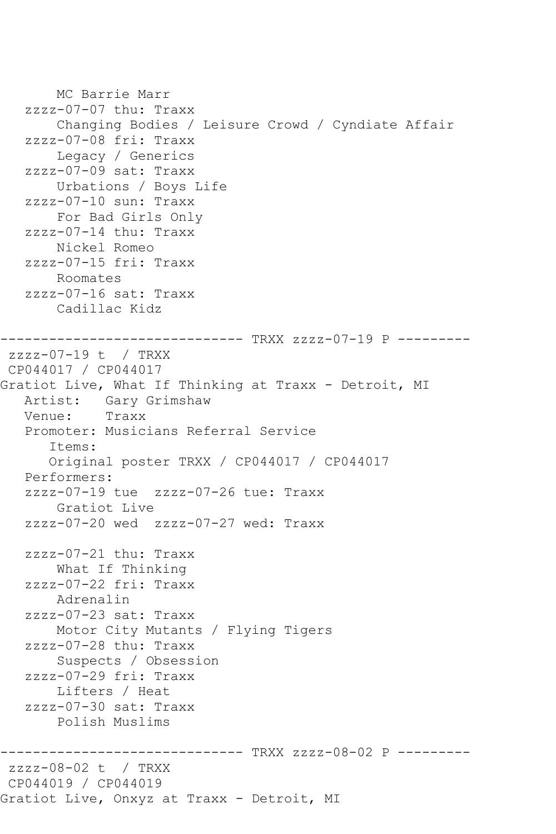MC Barrie Marr zzzz-07-07 thu: Traxx Changing Bodies / Leisure Crowd / Cyndiate Affair zzzz-07-08 fri: Traxx Legacy / Generics zzzz-07-09 sat: Traxx Urbations / Boys Life zzzz-07-10 sun: Traxx For Bad Girls Only zzzz-07-14 thu: Traxx Nickel Romeo zzzz-07-15 fri: Traxx Roomates zzzz-07-16 sat: Traxx Cadillac Kidz ------------------------------ TRXX zzzz-07-19 P -------- zzzz-07-19 t / TRXX CP044017 / CP044017 Gratiot Live, What If Thinking at Traxx - Detroit, MI Artist: Gary Grimshaw<br>Venue: Traxx Venue: Promoter: Musicians Referral Service Items: Original poster TRXX / CP044017 / CP044017 Performers: zzzz-07-19 tue zzzz-07-26 tue: Traxx Gratiot Live zzzz-07-20 wed zzzz-07-27 wed: Traxx zzzz-07-21 thu: Traxx What If Thinking zzzz-07-22 fri: Traxx Adrenalin zzzz-07-23 sat: Traxx Motor City Mutants / Flying Tigers zzzz-07-28 thu: Traxx Suspects / Obsession zzzz-07-29 fri: Traxx Lifters / Heat zzzz-07-30 sat: Traxx Polish Muslims ------------------------------ TRXX zzzz-08-02 P -------- zzzz-08-02 t / TRXX CP044019 / CP044019 Gratiot Live, Onxyz at Traxx - Detroit, MI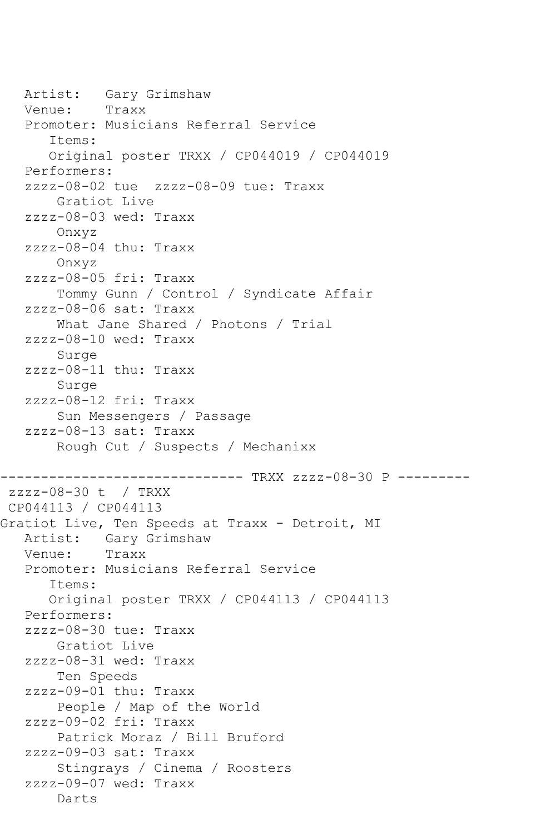Artist: Gary Grimshaw<br>Venue: Traxx Venue: Promoter: Musicians Referral Service Items: Original poster TRXX / CP044019 / CP044019 Performers: zzzz-08-02 tue zzzz-08-09 tue: Traxx Gratiot Live zzzz-08-03 wed: Traxx Onxyz zzzz-08-04 thu: Traxx Onxyz zzzz-08-05 fri: Traxx Tommy Gunn / Control / Syndicate Affair zzzz-08-06 sat: Traxx What Jane Shared / Photons / Trial zzzz-08-10 wed: Traxx Surge zzzz-08-11 thu: Traxx Surge zzzz-08-12 fri: Traxx Sun Messengers / Passage zzzz-08-13 sat: Traxx Rough Cut / Suspects / Mechanixx ------------------------------ TRXX zzzz-08-30 P -------- zzzz-08-30 t / TRXX CP044113 / CP044113 Gratiot Live, Ten Speeds at Traxx - Detroit, MI<br>Artist: Gary Grimshaw Gary Grimshaw<br>Traxx Venue: Promoter: Musicians Referral Service Items: Original poster TRXX / CP044113 / CP044113 Performers: zzzz-08-30 tue: Traxx Gratiot Live zzzz-08-31 wed: Traxx Ten Speeds zzzz-09-01 thu: Traxx People / Map of the World zzzz-09-02 fri: Traxx Patrick Moraz / Bill Bruford zzzz-09-03 sat: Traxx Stingrays / Cinema / Roosters zzzz-09-07 wed: Traxx Darts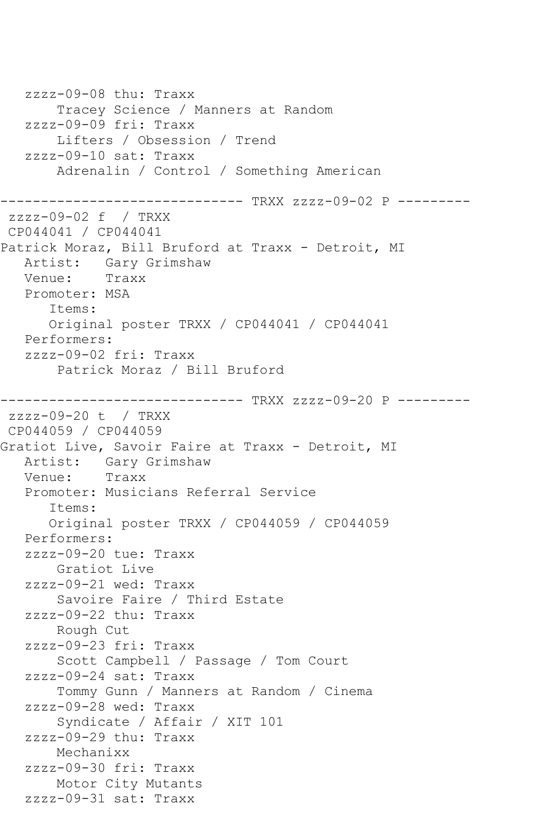zzzz-09-08 thu: Traxx Tracey Science / Manners at Random zzzz-09-09 fri: Traxx Lifters / Obsession / Trend zzzz-09-10 sat: Traxx Adrenalin / Control / Something American ------------------------------ TRXX zzzz-09-02 P -------- zzzz-09-02 f / TRXX CP044041 / CP044041 Patrick Moraz, Bill Bruford at Traxx - Detroit, MI Artist: Gary Grimshaw<br>Venue: Traxx Venue: Promoter: MSA Items: Original poster TRXX / CP044041 / CP044041 Performers: zzzz-09-02 fri: Traxx Patrick Moraz / Bill Bruford ------------------------------ TRXX zzzz-09-20 P -------- zzzz-09-20 t / TRXX CP044059 / CP044059 Gratiot Live, Savoir Faire at Traxx - Detroit, MI Artist: Gary Grimshaw<br>Venue: Traxx Venue: Promoter: Musicians Referral Service Items: Original poster TRXX / CP044059 / CP044059 Performers: zzzz-09-20 tue: Traxx Gratiot Live zzzz-09-21 wed: Traxx Savoire Faire / Third Estate zzzz-09-22 thu: Traxx Rough Cut zzzz-09-23 fri: Traxx Scott Campbell / Passage / Tom Court zzzz-09-24 sat: Traxx Tommy Gunn / Manners at Random / Cinema zzzz-09-28 wed: Traxx Syndicate / Affair / XIT 101 zzzz-09-29 thu: Traxx Mechanixx zzzz-09-30 fri: Traxx Motor City Mutants zzzz-09-31 sat: Traxx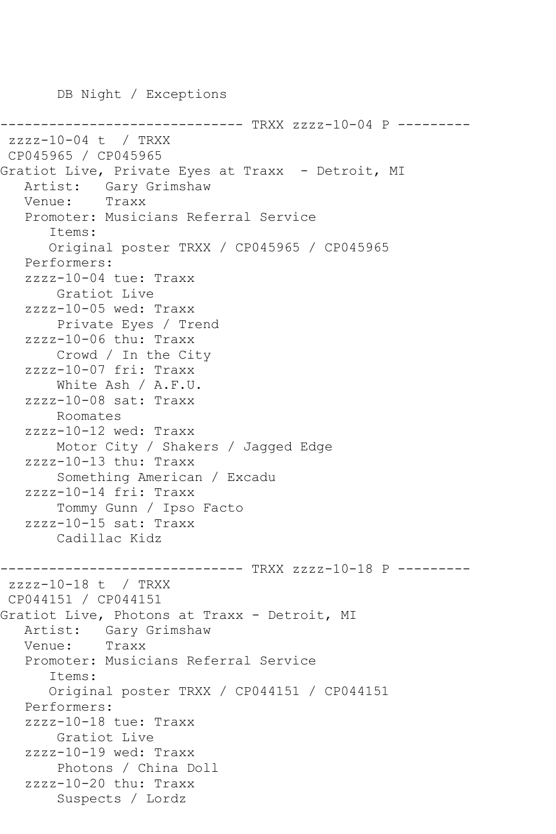DB Night / Exceptions ----------------- TRXX zzzz-10-04 P --------zzzz-10-04 t / TRXX CP045965 / CP045965 Gratiot Live, Private Eyes at Traxx - Detroit, MI Artist: Gary Grimshaw<br>Venue: Traxx Venue: Promoter: Musicians Referral Service Items: Original poster TRXX / CP045965 / CP045965 Performers: zzzz-10-04 tue: Traxx Gratiot Live zzzz-10-05 wed: Traxx Private Eyes / Trend zzzz-10-06 thu: Traxx Crowd / In the City zzzz-10-07 fri: Traxx White Ash / A.F.U. zzzz-10-08 sat: Traxx Roomates zzzz-10-12 wed: Traxx Motor City / Shakers / Jagged Edge zzzz-10-13 thu: Traxx Something American / Excadu zzzz-10-14 fri: Traxx Tommy Gunn / Ipso Facto zzzz-10-15 sat: Traxx Cadillac Kidz ------------------------------ TRXX zzzz-10-18 P -------- zzzz-10-18 t / TRXX CP044151 / CP044151 Gratiot Live, Photons at Traxx - Detroit, MI Artist: Gary Grimshaw<br>Venue: Traxx Venue: Promoter: Musicians Referral Service Items: Original poster TRXX / CP044151 / CP044151 Performers: zzzz-10-18 tue: Traxx Gratiot Live zzzz-10-19 wed: Traxx Photons / China Doll zzzz-10-20 thu: Traxx Suspects / Lordz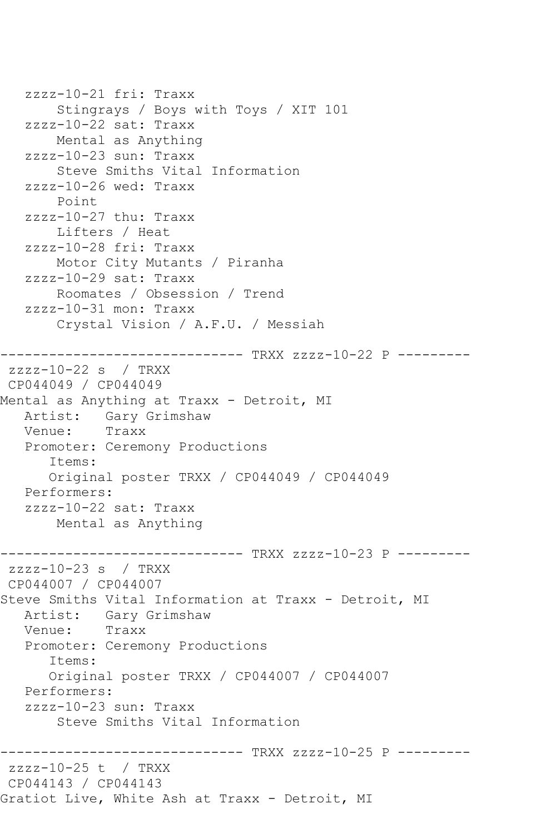zzzz-10-21 fri: Traxx Stingrays / Boys with Toys / XIT 101 zzzz-10-22 sat: Traxx Mental as Anything zzzz-10-23 sun: Traxx Steve Smiths Vital Information zzzz-10-26 wed: Traxx Point zzzz-10-27 thu: Traxx Lifters / Heat zzzz-10-28 fri: Traxx Motor City Mutants / Piranha zzzz-10-29 sat: Traxx Roomates / Obsession / Trend zzzz-10-31 mon: Traxx Crystal Vision / A.F.U. / Messiah ------------------------------ TRXX zzzz-10-22 P -------- zzzz-10-22 s / TRXX CP044049 / CP044049 Mental as Anything at Traxx - Detroit, MI<br>Artist: Garv Grimshaw Gary Grimshaw Venue: Traxx Promoter: Ceremony Productions Items: Original poster TRXX / CP044049 / CP044049 Performers: zzzz-10-22 sat: Traxx Mental as Anything ------------------------------ TRXX zzzz-10-23 P -------- zzzz-10-23 s / TRXX CP044007 / CP044007 Steve Smiths Vital Information at Traxx - Detroit, MI Artist: Gary Grimshaw Venue: Traxx Promoter: Ceremony Productions Items: Original poster TRXX / CP044007 / CP044007 Performers: zzzz-10-23 sun: Traxx Steve Smiths Vital Information ------------------------------ TRXX zzzz-10-25 P -------- zzzz-10-25 t / TRXX CP044143 / CP044143 Gratiot Live, White Ash at Traxx - Detroit, MI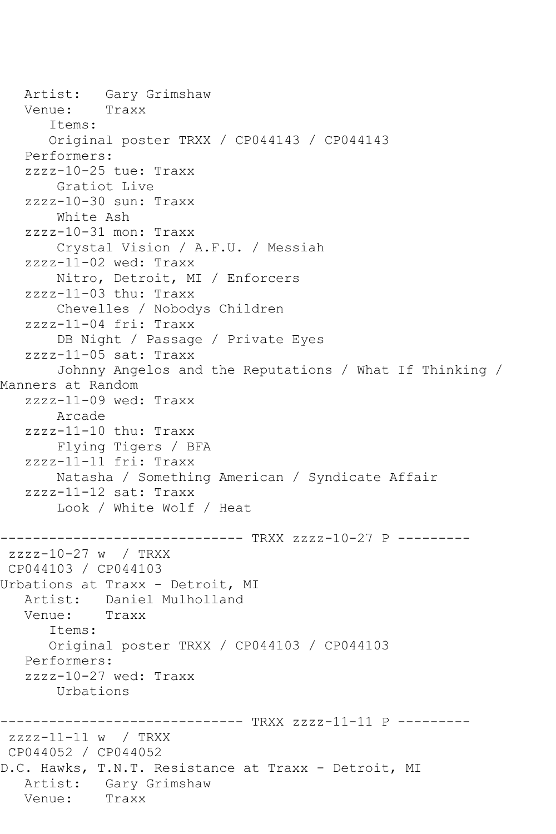```
Artist: Gary Grimshaw<br>Venue: Traxx
  Venue:
       Items:
       Original poster TRXX / CP044143 / CP044143
    Performers:
    zzzz-10-25 tue: Traxx
        Gratiot Live
    zzzz-10-30 sun: Traxx
        White Ash
    zzzz-10-31 mon: Traxx
        Crystal Vision / A.F.U. / Messiah
    zzzz-11-02 wed: Traxx
        Nitro, Detroit, MI / Enforcers
    zzzz-11-03 thu: Traxx
        Chevelles / Nobodys Children
    zzzz-11-04 fri: Traxx
        DB Night / Passage / Private Eyes
    zzzz-11-05 sat: Traxx
        Johnny Angelos and the Reputations / What If Thinking / 
Manners at Random
    zzzz-11-09 wed: Traxx
        Arcade
    zzzz-11-10 thu: Traxx
        Flying Tigers / BFA
    zzzz-11-11 fri: Traxx
        Natasha / Something American / Syndicate Affair
    zzzz-11-12 sat: Traxx
        Look / White Wolf / Heat
----------------------------- TRXX zzzz-10-27 P ---------
zzzz-10-27 w / TRXX 
CP044103 / CP044103
Urbations at Traxx - Detroit, MI
   Artist: Daniel Mulholland
   Venue: Traxx
       Items:
       Original poster TRXX / CP044103 / CP044103
    Performers:
    zzzz-10-27 wed: Traxx
        Urbations
------------------------------ TRXX zzzz-11-11 P ---------
zzzz-11-11 w / TRXX 
CP044052 / CP044052
D.C. Hawks, T.N.T. Resistance at Traxx - Detroit, MI
  Artist: Gary Grimshaw<br>Venue: Traxx
  Venue:
```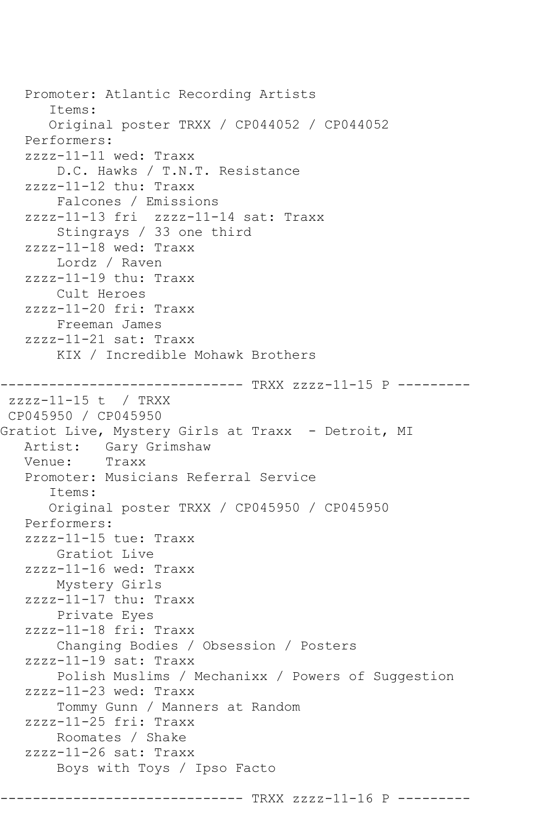Promoter: Atlantic Recording Artists Items: Original poster TRXX / CP044052 / CP044052 Performers: zzzz-11-11 wed: Traxx D.C. Hawks / T.N.T. Resistance zzzz-11-12 thu: Traxx Falcones / Emissions zzzz-11-13 fri zzzz-11-14 sat: Traxx Stingrays / 33 one third zzzz-11-18 wed: Traxx Lordz / Raven zzzz-11-19 thu: Traxx Cult Heroes zzzz-11-20 fri: Traxx Freeman James zzzz-11-21 sat: Traxx KIX / Incredible Mohawk Brothers ------------------------------ TRXX zzzz-11-15 P -------- zzzz-11-15 t / TRXX CP045950 / CP045950 Gratiot Live, Mystery Girls at Traxx - Detroit, MI Artist: Gary Grimshaw<br>Venue: Traxx Venue: Promoter: Musicians Referral Service Items: Original poster TRXX / CP045950 / CP045950 Performers: zzzz-11-15 tue: Traxx Gratiot Live zzzz-11-16 wed: Traxx Mystery Girls zzzz-11-17 thu: Traxx Private Eyes zzzz-11-18 fri: Traxx Changing Bodies / Obsession / Posters zzzz-11-19 sat: Traxx Polish Muslims / Mechanixx / Powers of Suggestion zzzz-11-23 wed: Traxx Tommy Gunn / Manners at Random zzzz-11-25 fri: Traxx Roomates / Shake zzzz-11-26 sat: Traxx Boys with Toys / Ipso Facto

------------------------------ TRXX zzzz-11-16 P ---------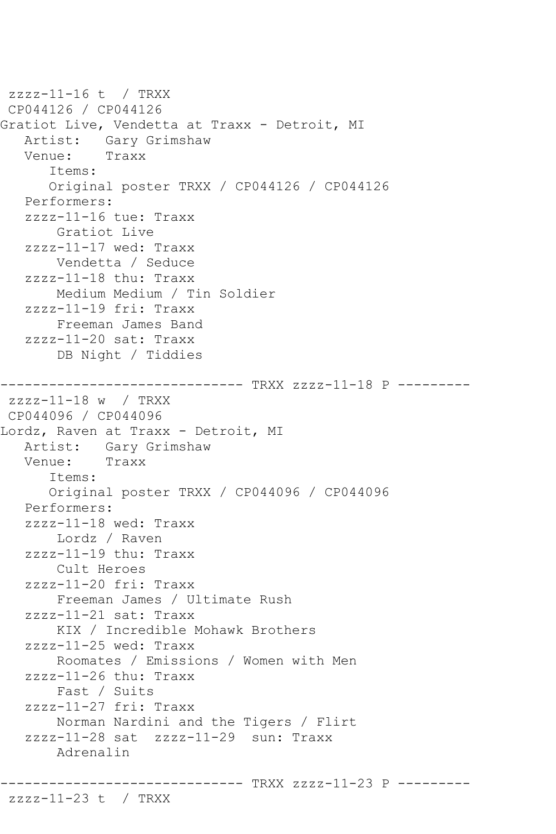```
zzzz-11-16 t / TRXX 
CP044126 / CP044126
Gratiot Live, Vendetta at Traxx - Detroit, MI
  Artist: Gary Grimshaw<br>Venue: Traxx
            Traxx
       Items:
       Original poster TRXX / CP044126 / CP044126
    Performers:
    zzzz-11-16 tue: Traxx
       Gratiot Live
    zzzz-11-17 wed: Traxx
        Vendetta / Seduce
    zzzz-11-18 thu: Traxx
        Medium Medium / Tin Soldier
    zzzz-11-19 fri: Traxx
        Freeman James Band
    zzzz-11-20 sat: Traxx
        DB Night / Tiddies
------------------------------ TRXX zzzz-11-18 P ---------
zzzz-11-18 w / TRXX 
CP044096 / CP044096
Lordz, Raven at Traxx - Detroit, MI
  Artist: Gary Grimshaw<br>Venue: Traxx
           Traxx
       Items:
       Original poster TRXX / CP044096 / CP044096
    Performers:
    zzzz-11-18 wed: Traxx
        Lordz / Raven
    zzzz-11-19 thu: Traxx
        Cult Heroes
    zzzz-11-20 fri: Traxx
        Freeman James / Ultimate Rush
    zzzz-11-21 sat: Traxx
        KIX / Incredible Mohawk Brothers
    zzzz-11-25 wed: Traxx
        Roomates / Emissions / Women with Men
    zzzz-11-26 thu: Traxx
        Fast / Suits
    zzzz-11-27 fri: Traxx
        Norman Nardini and the Tigers / Flirt
    zzzz-11-28 sat zzzz-11-29 sun: Traxx
        Adrenalin
------------------------------ TRXX zzzz-11-23 P ---------
```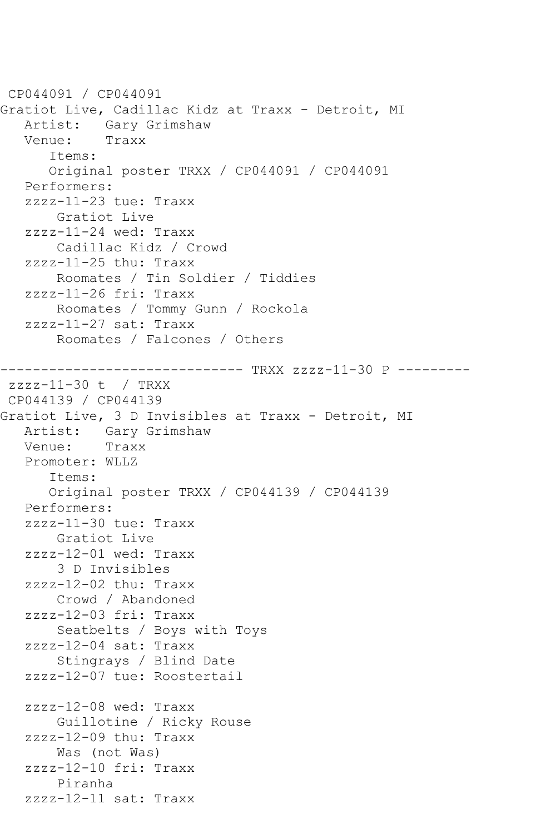```
CP044091 / CP044091
Gratiot Live, Cadillac Kidz at Traxx - Detroit, MI
   Artist: Gary Grimshaw
   Venue: Traxx
       Items:
       Original poster TRXX / CP044091 / CP044091
    Performers:
    zzzz-11-23 tue: Traxx
        Gratiot Live
    zzzz-11-24 wed: Traxx
        Cadillac Kidz / Crowd
    zzzz-11-25 thu: Traxx
        Roomates / Tin Soldier / Tiddies
    zzzz-11-26 fri: Traxx
        Roomates / Tommy Gunn / Rockola
    zzzz-11-27 sat: Traxx
        Roomates / Falcones / Others
------------------------------ TRXX zzzz-11-30 P ---------
zzzz-11-30 t / TRXX 
CP044139 / CP044139
Gratiot Live, 3 D Invisibles at Traxx - Detroit, MI
  Artist: Gary Grimshaw<br>Venue: Traxx
  Venue:
    Promoter: WLLZ
       Items:
       Original poster TRXX / CP044139 / CP044139
    Performers:
    zzzz-11-30 tue: Traxx
        Gratiot Live
    zzzz-12-01 wed: Traxx
        3 D Invisibles
    zzzz-12-02 thu: Traxx
        Crowd / Abandoned
    zzzz-12-03 fri: Traxx
        Seatbelts / Boys with Toys
    zzzz-12-04 sat: Traxx
        Stingrays / Blind Date
    zzzz-12-07 tue: Roostertail
    zzzz-12-08 wed: Traxx
        Guillotine / Ricky Rouse
    zzzz-12-09 thu: Traxx
        Was (not Was)
    zzzz-12-10 fri: Traxx
        Piranha
    zzzz-12-11 sat: Traxx
```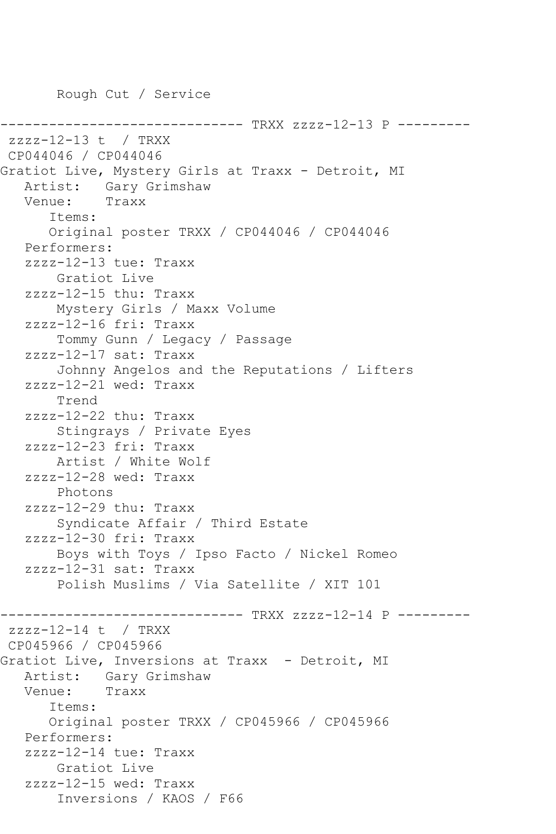Rough Cut / Service

-------------- TRXX zzzz-12-13 P --------zzzz-12-13 t / TRXX CP044046 / CP044046 Gratiot Live, Mystery Girls at Traxx - Detroit, MI Artist: Gary Grimshaw<br>Venue: Traxx Venue: Items: Original poster TRXX / CP044046 / CP044046 Performers: zzzz-12-13 tue: Traxx Gratiot Live zzzz-12-15 thu: Traxx Mystery Girls / Maxx Volume zzzz-12-16 fri: Traxx Tommy Gunn / Legacy / Passage zzzz-12-17 sat: Traxx Johnny Angelos and the Reputations / Lifters zzzz-12-21 wed: Traxx Trend zzzz-12-22 thu: Traxx Stingrays / Private Eyes zzzz-12-23 fri: Traxx Artist / White Wolf zzzz-12-28 wed: Traxx Photons zzzz-12-29 thu: Traxx Syndicate Affair / Third Estate zzzz-12-30 fri: Traxx Boys with Toys / Ipso Facto / Nickel Romeo zzzz-12-31 sat: Traxx Polish Muslims / Via Satellite / XIT 101 ---------------- TRXX zzzz-12-14 P --------zzzz-12-14 t / TRXX CP045966 / CP045966 Gratiot Live, Inversions at Traxx - Detroit, MI Artist: Gary Grimshaw<br>Venue: Traxx Venue: Items: Original poster TRXX / CP045966 / CP045966 Performers: zzzz-12-14 tue: Traxx Gratiot Live zzzz-12-15 wed: Traxx Inversions / KAOS / F66